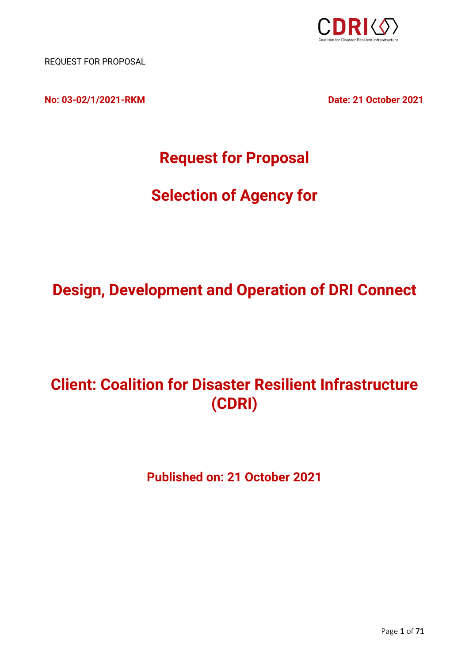

REQUEST FOR PROPOSAL

**No: 03-02/1/2021-RKM Date: 21 October 2021**

## **Request for Proposal**

# **Selection of Agency for**

## **Design, Development and Operation of DRI Connect**

# **Client: Coalition for Disaster Resilient Infrastructure (CDRI)**

**Published on: 21 October 2021**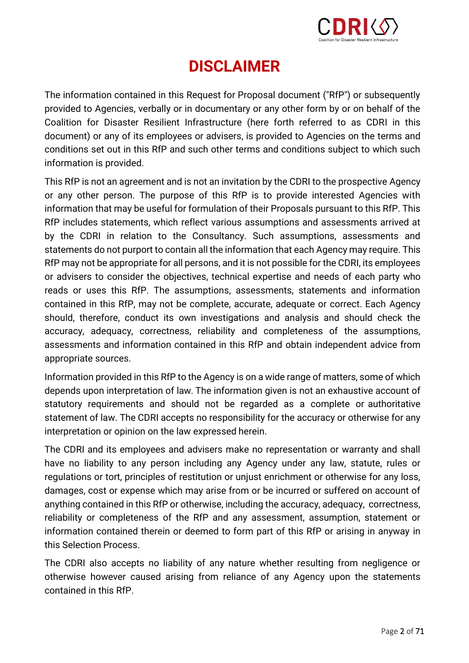

## **DISCLAIMER**

<span id="page-1-0"></span>The information contained in this Request for Proposal document ("RfP") or subsequently provided to Agencies, verbally or in documentary or any other form by or on behalf of the Coalition for Disaster Resilient Infrastructure (here forth referred to as CDRI in this document) or any of its employees or advisers, is provided to Agencies on the terms and conditions set out in this RfP and such other terms and conditions subject to which such information is provided.

This RfP is not an agreement and is not an invitation by the CDRI to the prospective Agency or any other person. The purpose of this RfP is to provide interested Agencies with information that may be useful for formulation of their Proposals pursuant to this RfP. This RfP includes statements, which reflect various assumptions and assessments arrived at by the CDRI in relation to the Consultancy. Such assumptions, assessments and statements do not purport to contain all the information that each Agency may require. This RfP may not be appropriate for all persons, and it is not possible for the CDRI, its employees or advisers to consider the objectives, technical expertise and needs of each party who reads or uses this RfP. The assumptions, assessments, statements and information contained in this RfP, may not be complete, accurate, adequate or correct. Each Agency should, therefore, conduct its own investigations and analysis and should check the accuracy, adequacy, correctness, reliability and completeness of the assumptions, assessments and information contained in this RfP and obtain independent advice from appropriate sources.

Information provided in this RfP to the Agency is on a wide range of matters, some of which depends upon interpretation of law. The information given is not an exhaustive account of statutory requirements and should not be regarded as a complete or authoritative statement of law. The CDRI accepts no responsibility for the accuracy or otherwise for any interpretation or opinion on the law expressed herein.

The CDRI and its employees and advisers make no representation or warranty and shall have no liability to any person including any Agency under any law, statute, rules or regulations or tort, principles of restitution or unjust enrichment or otherwise for any loss, damages, cost or expense which may arise from or be incurred or suffered on account of anything contained in this RfP or otherwise, including the accuracy, adequacy, correctness, reliability or completeness of the RfP and any assessment, assumption, statement or information contained therein or deemed to form part of this RfP or arising in anyway in this Selection Process.

The CDRI also accepts no liability of any nature whether resulting from negligence or otherwise however caused arising from reliance of any Agency upon the statements contained in this RfP.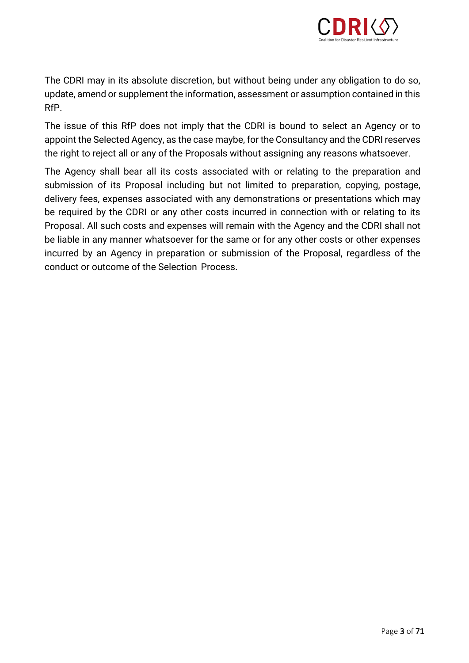

The CDRI may in its absolute discretion, but without being under any obligation to do so, update, amend or supplement the information, assessment or assumption contained in this RfP.

The issue of this RfP does not imply that the CDRI is bound to select an Agency or to appoint the Selected Agency, as the case maybe, for the Consultancy and the CDRI reserves the right to reject all or any of the Proposals without assigning any reasons whatsoever.

The Agency shall bear all its costs associated with or relating to the preparation and submission of its Proposal including but not limited to preparation, copying, postage, delivery fees, expenses associated with any demonstrations or presentations which may be required by the CDRI or any other costs incurred in connection with or relating to its Proposal. All such costs and expenses will remain with the Agency and the CDRI shall not be liable in any manner whatsoever for the same or for any other costs or other expenses incurred by an Agency in preparation or submission of the Proposal, regardless of the conduct or outcome of the Selection Process.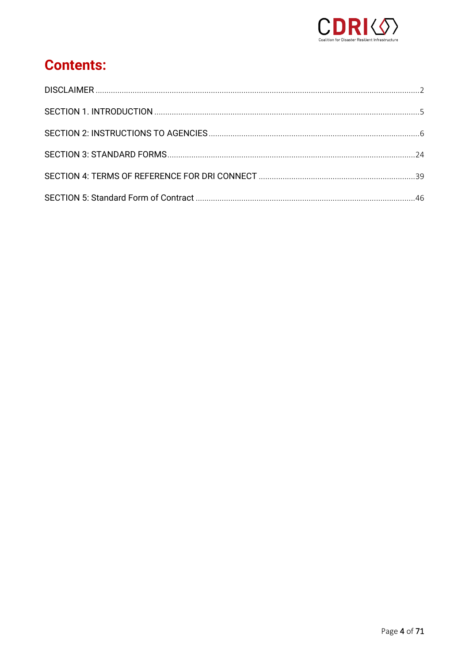

## **Contents:**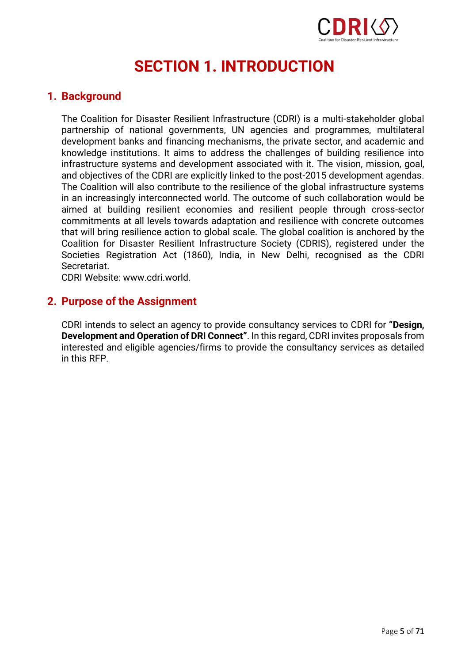

# **SECTION 1. INTRODUCTION**

## <span id="page-4-0"></span>**1. Background**

The Coalition for Disaster Resilient Infrastructure (CDRI) is a multi-stakeholder global partnership of national governments, UN agencies and programmes, multilateral development banks and financing mechanisms, the private sector, and academic and knowledge institutions. It aims to address the challenges of building resilience into infrastructure systems and development associated with it. The vision, mission, goal, and objectives of the CDRI are explicitly linked to the post-2015 development agendas. The Coalition will also contribute to the resilience of the global infrastructure systems in an increasingly interconnected world. The outcome of such collaboration would be aimed at building resilient economies and resilient people through cross-sector commitments at all levels towards adaptation and resilience with concrete outcomes that will bring resilience action to global scale. The global coalition is anchored by the Coalition for Disaster Resilient Infrastructure Society (CDRIS), registered under the Societies Registration Act (1860), India, in New Delhi, recognised as the CDRI Secretariat.

CDRI Website: www.cdri.world.

## **2. Purpose of the Assignment**

CDRI intends to select an agency to provide consultancy services to CDRI for **"Design, Development and Operation of DRI Connect"**. In this regard, CDRI invites proposals from interested and eligible agencies/firms to provide the consultancy services as detailed in this RFP.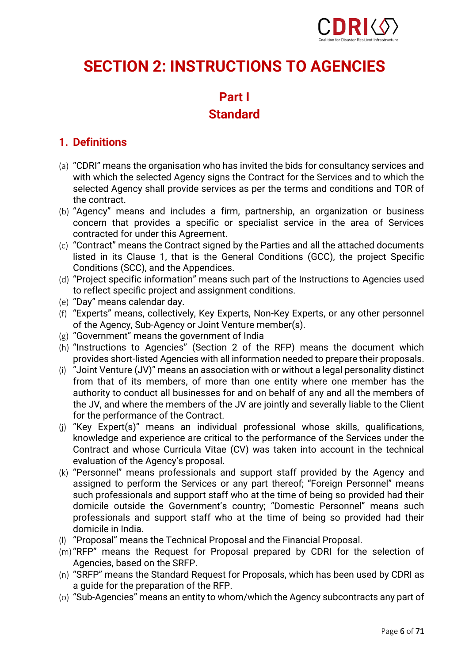

## <span id="page-5-0"></span>**SECTION 2: INSTRUCTIONS TO AGENCIES**

## **Part I**

## **Standard**

## **1. Definitions**

- (a) "CDRI" means the organisation who has invited the bids for consultancy services and with which the selected Agency signs the Contract for the Services and to which the selected Agency shall provide services as per the terms and conditions and TOR of the contract.
- (b) "Agency" means and includes a firm, partnership, an organization or business concern that provides a specific or specialist service in the area of Services contracted for under this Agreement.
- (c) "Contract" means the Contract signed by the Parties and all the attached documents listed in its Clause 1, that is the General Conditions (GCC), the project Specific Conditions (SCC), and the Appendices.
- (d) "Project specific information" means such part of the Instructions to Agencies used to reflect specific project and assignment conditions.
- (e) "Day" means calendar day.
- (f) "Experts" means, collectively, Key Experts, Non-Key Experts, or any other personnel of the Agency, Sub-Agency or Joint Venture member(s).
- (g) "Government" means the government of India
- (h) "Instructions to Agencies" (Section 2 of the RFP) means the document which provides short-listed Agencies with all information needed to prepare their proposals.
- (i) "Joint Venture (JV)" means an association with or without a legal personality distinct from that of its members, of more than one entity where one member has the authority to conduct all businesses for and on behalf of any and all the members of the JV, and where the members of the JV are jointly and severally liable to the Client for the performance of the Contract.
- (j) "Key Expert(s)" means an individual professional whose skills, qualifications, knowledge and experience are critical to the performance of the Services under the Contract and whose Curricula Vitae (CV) was taken into account in the technical evaluation of the Agency's proposal.
- (k) "Personnel" means professionals and support staff provided by the Agency and assigned to perform the Services or any part thereof; "Foreign Personnel" means such professionals and support staff who at the time of being so provided had their domicile outside the Government's country; "Domestic Personnel" means such professionals and support staff who at the time of being so provided had their domicile in India.
- (l) "Proposal" means the Technical Proposal and the Financial Proposal.
- (m)"RFP" means the Request for Proposal prepared by CDRI for the selection of Agencies, based on the SRFP.
- (n) "SRFP" means the Standard Request for Proposals, which has been used by CDRI as a guide for the preparation of the RFP.
- (o) "Sub-Agencies" means an entity to whom/which the Agency subcontracts any part of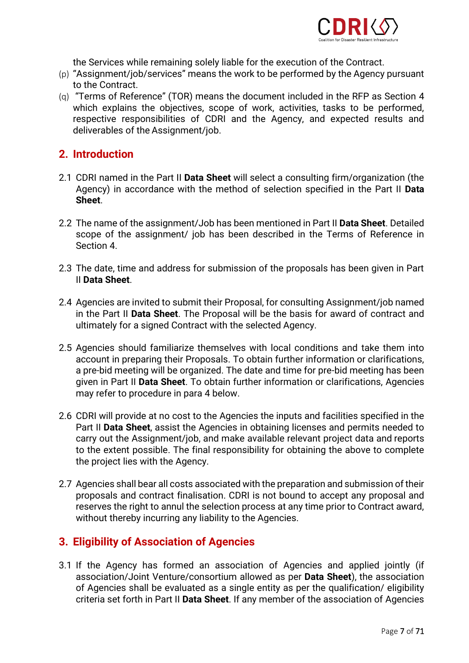

the Services while remaining solely liable for the execution of the Contract.

- (p) "Assignment/job/services" means the work to be performed by the Agency pursuant to the Contract.
- (q) "Terms of Reference" (TOR) means the document included in the RFP as Section 4 which explains the objectives, scope of work, activities, tasks to be performed, respective responsibilities of CDRI and the Agency, and expected results and deliverables of the Assignment/job.

## **2. Introduction**

- 2.1 CDRI named in the Part II **Data Sheet** will select a consulting firm/organization (the Agency) in accordance with the method of selection specified in the Part II **Data Sheet**.
- 2.2 The name of the assignment/Job has been mentioned in Part II **Data Sheet**. Detailed scope of the assignment/ job has been described in the Terms of Reference in Section 4.
- 2.3 The date, time and address for submission of the proposals has been given in Part II **Data Sheet**.
- 2.4 Agencies are invited to submit their Proposal, for consulting Assignment/job named in the Part II **Data Sheet**. The Proposal will be the basis for award of contract and ultimately for a signed Contract with the selected Agency.
- 2.5 Agencies should familiarize themselves with local conditions and take them into account in preparing their Proposals. To obtain further information or clarifications, a pre-bid meeting will be organized. The date and time for pre-bid meeting has been given in Part II **Data Sheet**. To obtain further information or clarifications, Agencies may refer to procedure in para 4 below.
- 2.6 CDRI will provide at no cost to the Agencies the inputs and facilities specified in the Part II **Data Sheet**, assist the Agencies in obtaining licenses and permits needed to carry out the Assignment/job, and make available relevant project data and reports to the extent possible. The final responsibility for obtaining the above to complete the project lies with the Agency.
- 2.7 Agencies shall bear all costs associated with the preparation and submission of their proposals and contract finalisation. CDRI is not bound to accept any proposal and reserves the right to annul the selection process at any time prior to Contract award, without thereby incurring any liability to the Agencies.

## **3. Eligibility of Association of Agencies**

3.1 If the Agency has formed an association of Agencies and applied jointly (if association/Joint Venture/consortium allowed as per **Data Sheet**), the association of Agencies shall be evaluated as a single entity as per the qualification/ eligibility criteria set forth in Part II **Data Sheet**. If any member of the association of Agencies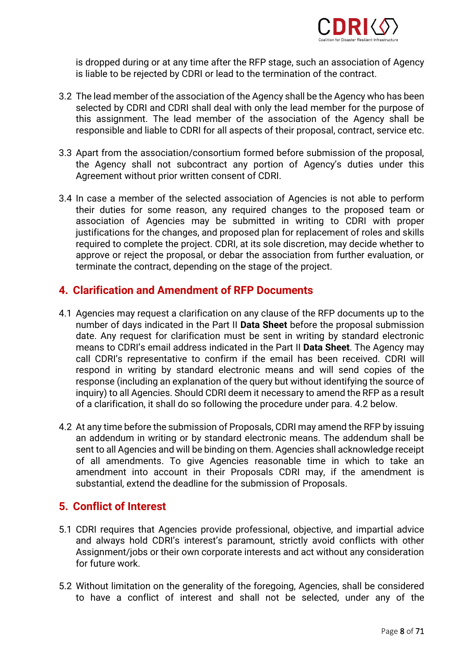

is dropped during or at any time after the RFP stage, such an association of Agency is liable to be rejected by CDRI or lead to the termination of the contract.

- 3.2 The lead member of the association of the Agency shall be the Agency who has been selected by CDRI and CDRI shall deal with only the lead member for the purpose of this assignment. The lead member of the association of the Agency shall be responsible and liable to CDRI for all aspects of their proposal, contract, service etc.
- 3.3 Apart from the association/consortium formed before submission of the proposal, the Agency shall not subcontract any portion of Agency's duties under this Agreement without prior written consent of CDRI.
- 3.4 In case a member of the selected association of Agencies is not able to perform their duties for some reason, any required changes to the proposed team or association of Agencies may be submitted in writing to CDRI with proper justifications for the changes, and proposed plan for replacement of roles and skills required to complete the project. CDRI, at its sole discretion, may decide whether to approve or reject the proposal, or debar the association from further evaluation, or terminate the contract, depending on the stage of the project.

## **4. Clarification and Amendment of RFP Documents**

- 4.1 Agencies may request a clarification on any clause of the RFP documents up to the number of days indicated in the Part II **Data Sheet** before the proposal submission date. Any request for clarification must be sent in writing by standard electronic means to CDRI's email address indicated in the Part II **Data Sheet**. The Agency may call CDRI's representative to confirm if the email has been received. CDRI will respond in writing by standard electronic means and will send copies of the response (including an explanation of the query but without identifying the source of inquiry) to all Agencies. Should CDRI deem it necessary to amend the RFP as a result of a clarification, it shall do so following the procedure under para. 4.2 below.
- 4.2 At any time before the submission of Proposals, CDRI may amend the RFP by issuing an addendum in writing or by standard electronic means. The addendum shall be sent to all Agencies and will be binding on them. Agencies shall acknowledge receipt of all amendments. To give Agencies reasonable time in which to take an amendment into account in their Proposals CDRI may, if the amendment is substantial, extend the deadline for the submission of Proposals.

### **5. Conflict of Interest**

- 5.1 CDRI requires that Agencies provide professional, objective, and impartial advice and always hold CDRI's interest's paramount, strictly avoid conflicts with other Assignment/jobs or their own corporate interests and act without any consideration for future work.
- 5.2 Without limitation on the generality of the foregoing, Agencies, shall be considered to have a conflict of interest and shall not be selected, under any of the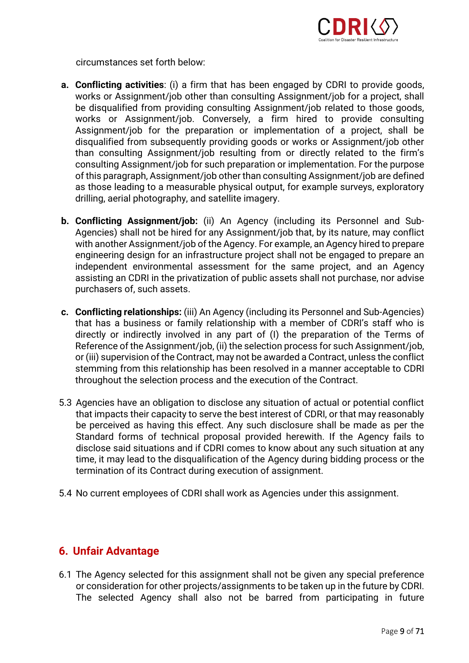

circumstances set forth below:

- **a. Conflicting activities**: (i) a firm that has been engaged by CDRI to provide goods, works or Assignment/job other than consulting Assignment/job for a project, shall be disqualified from providing consulting Assignment/job related to those goods, works or Assignment/job. Conversely, a firm hired to provide consulting Assignment/job for the preparation or implementation of a project, shall be disqualified from subsequently providing goods or works or Assignment/job other than consulting Assignment/job resulting from or directly related to the firm's consulting Assignment/job for such preparation or implementation. For the purpose of this paragraph, Assignment/job other than consulting Assignment/job are defined as those leading to a measurable physical output, for example surveys, exploratory drilling, aerial photography, and satellite imagery.
- **b. Conflicting Assignment/job:** (ii) An Agency (including its Personnel and Sub-Agencies) shall not be hired for any Assignment/job that, by its nature, may conflict with another Assignment/job of the Agency. For example, an Agency hired to prepare engineering design for an infrastructure project shall not be engaged to prepare an independent environmental assessment for the same project, and an Agency assisting an CDRI in the privatization of public assets shall not purchase, nor advise purchasers of, such assets.
- **c. Conflicting relationships:** (iii) An Agency (including its Personnel and Sub-Agencies) that has a business or family relationship with a member of CDRI's staff who is directly or indirectly involved in any part of (I) the preparation of the Terms of Reference of the Assignment/job, (ii) the selection process for such Assignment/job, or (iii) supervision of the Contract, may not be awarded a Contract, unless the conflict stemming from this relationship has been resolved in a manner acceptable to CDRI throughout the selection process and the execution of the Contract.
- 5.3 Agencies have an obligation to disclose any situation of actual or potential conflict that impacts their capacity to serve the best interest of CDRI, or that may reasonably be perceived as having this effect. Any such disclosure shall be made as per the Standard forms of technical proposal provided herewith. If the Agency fails to disclose said situations and if CDRI comes to know about any such situation at any time, it may lead to the disqualification of the Agency during bidding process or the termination of its Contract during execution of assignment.
- 5.4 No current employees of CDRI shall work as Agencies under this assignment.

## **6. Unfair Advantage**

6.1 The Agency selected for this assignment shall not be given any special preference or consideration for other projects/assignments to be taken up in the future by CDRI. The selected Agency shall also not be barred from participating in future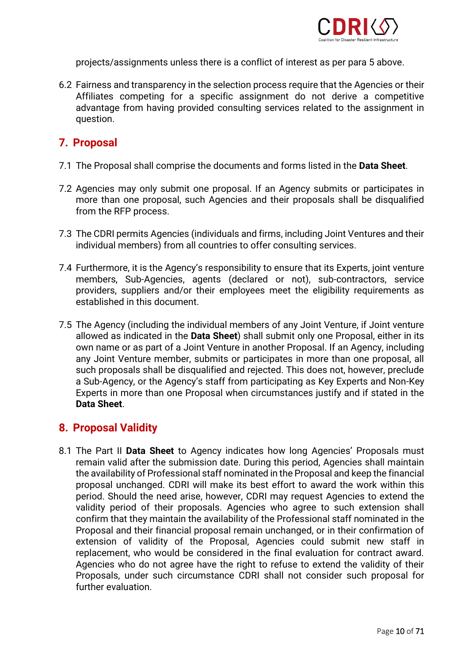

projects/assignments unless there is a conflict of interest as per para 5 above.

6.2 Fairness and transparency in the selection process require that the Agencies or their Affiliates competing for a specific assignment do not derive a competitive advantage from having provided consulting services related to the assignment in question.

## **7. Proposal**

- 7.1 The Proposal shall comprise the documents and forms listed in the **Data Sheet**.
- 7.2 Agencies may only submit one proposal. If an Agency submits or participates in more than one proposal, such Agencies and their proposals shall be disqualified from the RFP process.
- 7.3 The CDRI permits Agencies (individuals and firms, including Joint Ventures and their individual members) from all countries to offer consulting services.
- 7.4 Furthermore, it is the Agency's responsibility to ensure that its Experts, joint venture members, Sub-Agencies, agents (declared or not), sub-contractors, service providers, suppliers and/or their employees meet the eligibility requirements as established in this document.
- 7.5 The Agency (including the individual members of any Joint Venture, if Joint venture allowed as indicated in the **Data Sheet**) shall submit only one Proposal, either in its own name or as part of a Joint Venture in another Proposal. If an Agency, including any Joint Venture member, submits or participates in more than one proposal, all such proposals shall be disqualified and rejected. This does not, however, preclude a Sub-Agency, or the Agency's staff from participating as Key Experts and Non-Key Experts in more than one Proposal when circumstances justify and if stated in the **Data Sheet**.

## **8. Proposal Validity**

8.1 The Part II **Data Sheet** to Agency indicates how long Agencies' Proposals must remain valid after the submission date. During this period, Agencies shall maintain the availability of Professional staff nominated in the Proposal and keep the financial proposal unchanged. CDRI will make its best effort to award the work within this period. Should the need arise, however, CDRI may request Agencies to extend the validity period of their proposals. Agencies who agree to such extension shall confirm that they maintain the availability of the Professional staff nominated in the Proposal and their financial proposal remain unchanged, or in their confirmation of extension of validity of the Proposal, Agencies could submit new staff in replacement, who would be considered in the final evaluation for contract award. Agencies who do not agree have the right to refuse to extend the validity of their Proposals, under such circumstance CDRI shall not consider such proposal for further evaluation.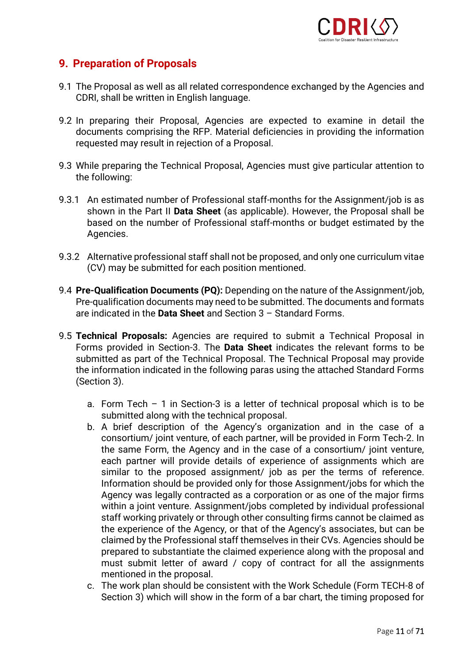

## **9. Preparation of Proposals**

- 9.1 The Proposal as well as all related correspondence exchanged by the Agencies and CDRI, shall be written in English language.
- 9.2 In preparing their Proposal, Agencies are expected to examine in detail the documents comprising the RFP. Material deficiencies in providing the information requested may result in rejection of a Proposal.
- 9.3 While preparing the Technical Proposal, Agencies must give particular attention to the following:
- 9.3.1 An estimated number of Professional staff-months for the Assignment/job is as shown in the Part II **Data Sheet** (as applicable). However, the Proposal shall be based on the number of Professional staff-months or budget estimated by the Agencies.
- 9.3.2 Alternative professional staff shall not be proposed, and only one curriculum vitae (CV) may be submitted for each position mentioned.
- 9.4 **Pre-Qualification Documents (PQ):** Depending on the nature of the Assignment/job, Pre-qualification documents may need to be submitted. The documents and formats are indicated in the **Data Sheet** and Section 3 – Standard Forms.
- 9.5 **Technical Proposals:** Agencies are required to submit a Technical Proposal in Forms provided in Section-3. The **Data Sheet** indicates the relevant forms to be submitted as part of the Technical Proposal. The Technical Proposal may provide the information indicated in the following paras using the attached Standard Forms (Section 3).
	- a. Form Tech 1 in Section-3 is a letter of technical proposal which is to be submitted along with the technical proposal.
	- b. A brief description of the Agency's organization and in the case of a consortium/ joint venture, of each partner, will be provided in Form Tech-2. In the same Form, the Agency and in the case of a consortium/ joint venture, each partner will provide details of experience of assignments which are similar to the proposed assignment/ job as per the terms of reference. Information should be provided only for those Assignment/jobs for which the Agency was legally contracted as a corporation or as one of the major firms within a joint venture. Assignment/jobs completed by individual professional staff working privately or through other consulting firms cannot be claimed as the experience of the Agency, or that of the Agency's associates, but can be claimed by the Professional staff themselves in their CVs. Agencies should be prepared to substantiate the claimed experience along with the proposal and must submit letter of award / copy of contract for all the assignments mentioned in the proposal.
	- c. The work plan should be consistent with the Work Schedule (Form TECH-8 of Section 3) which will show in the form of a bar chart, the timing proposed for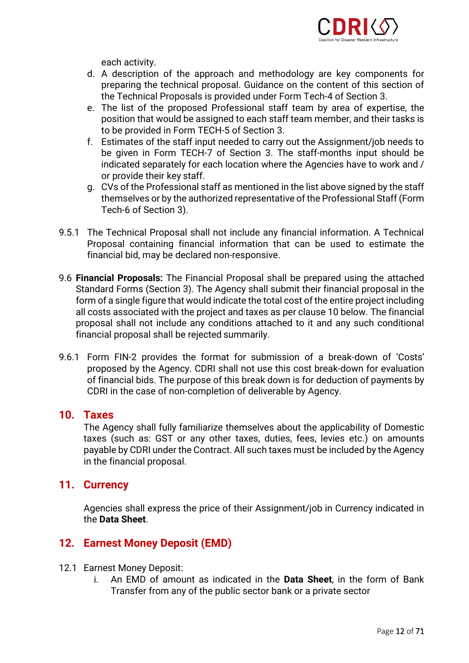

each activity.

- d. A description of the approach and methodology are key components for preparing the technical proposal. Guidance on the content of this section of the Technical Proposals is provided under Form Tech-4 of Section 3.
- e. The list of the proposed Professional staff team by area of expertise, the position that would be assigned to each staff team member, and their tasks is to be provided in Form TECH-5 of Section 3.
- f. Estimates of the staff input needed to carry out the Assignment/job needs to be given in Form TECH-7 of Section 3. The staff-months input should be indicated separately for each location where the Agencies have to work and / or provide their key staff.
- g. CVs of the Professional staff as mentioned in the list above signed by the staff themselves or by the authorized representative of the Professional Staff (Form Tech-6 of Section 3).
- 9.5.1 The Technical Proposal shall not include any financial information. A Technical Proposal containing financial information that can be used to estimate the financial bid, may be declared non-responsive.
- 9.6 **Financial Proposals:** The Financial Proposal shall be prepared using the attached Standard Forms (Section 3). The Agency shall submit their financial proposal in the form of a single figure that would indicate the total cost of the entire project including all costs associated with the project and taxes as per clause 10 below. The financial proposal shall not include any conditions attached to it and any such conditional financial proposal shall be rejected summarily.
- 9.6.1 Form FIN-2 provides the format for submission of a break-down of 'Costs' proposed by the Agency. CDRI shall not use this cost break-down for evaluation of financial bids. The purpose of this break down is for deduction of payments by CDRI in the case of non-completion of deliverable by Agency.

### **10. Taxes**

The Agency shall fully familiarize themselves about the applicability of Domestic taxes (such as: GST or any other taxes, duties, fees, levies etc.) on amounts payable by CDRI under the Contract. All such taxes must be included by the Agency in the financial proposal.

### **11. Currency**

Agencies shall express the price of their Assignment/job in Currency indicated in the **Data Sheet**.

## **12. Earnest Money Deposit (EMD)**

- 12.1 Earnest Money Deposit:
	- i. An EMD of amount as indicated in the **Data Sheet**, in the form of Bank Transfer from any of the public sector bank or a private sector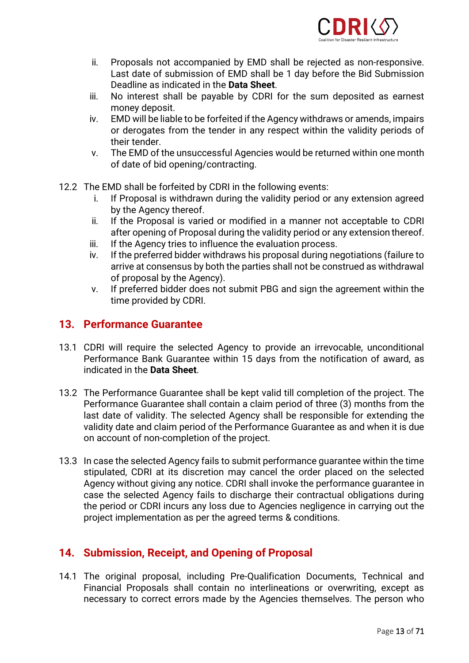

- ii. Proposals not accompanied by EMD shall be rejected as non-responsive. Last date of submission of EMD shall be 1 day before the Bid Submission Deadline as indicated in the **Data Sheet**.
- iii. No interest shall be payable by CDRI for the sum deposited as earnest money deposit.
- iv. EMD will be liable to be forfeited if the Agency withdraws or amends, impairs or derogates from the tender in any respect within the validity periods of their tender.
- v. The EMD of the unsuccessful Agencies would be returned within one month of date of bid opening/contracting.
- 12.2 The EMD shall be forfeited by CDRI in the following events:
	- i. If Proposal is withdrawn during the validity period or any extension agreed by the Agency thereof.
	- ii. If the Proposal is varied or modified in a manner not acceptable to CDRI after opening of Proposal during the validity period or any extension thereof.
	- iii. If the Agency tries to influence the evaluation process.
	- iv. If the preferred bidder withdraws his proposal during negotiations (failure to arrive at consensus by both the parties shall not be construed as withdrawal of proposal by the Agency).
	- v. If preferred bidder does not submit PBG and sign the agreement within the time provided by CDRI.

### **13. Performance Guarantee**

- 13.1 CDRI will require the selected Agency to provide an irrevocable, unconditional Performance Bank Guarantee within 15 days from the notification of award, as indicated in the **Data Sheet**.
- 13.2 The Performance Guarantee shall be kept valid till completion of the project. The Performance Guarantee shall contain a claim period of three (3) months from the last date of validity. The selected Agency shall be responsible for extending the validity date and claim period of the Performance Guarantee as and when it is due on account of non‐completion of the project.
- 13.3 In case the selected Agency fails to submit performance guarantee within the time stipulated, CDRI at its discretion may cancel the order placed on the selected Agency without giving any notice. CDRI shall invoke the performance guarantee in case the selected Agency fails to discharge their contractual obligations during the period or CDRI incurs any loss due to Agencies negligence in carrying out the project implementation as per the agreed terms & conditions.

### **14. Submission, Receipt, and Opening of Proposal**

14.1 The original proposal, including Pre-Qualification Documents, Technical and Financial Proposals shall contain no interlineations or overwriting, except as necessary to correct errors made by the Agencies themselves. The person who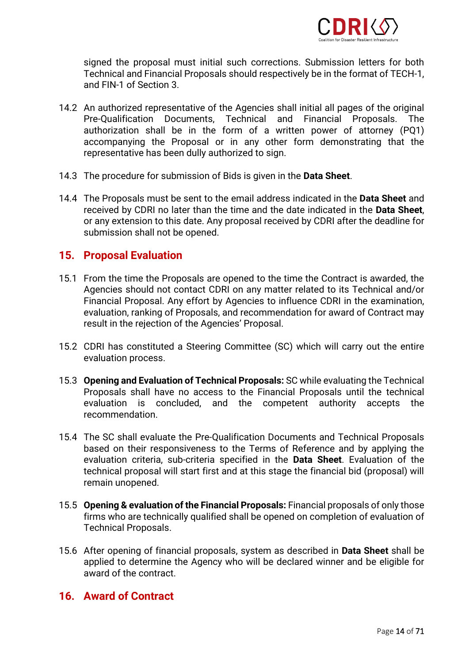

signed the proposal must initial such corrections. Submission letters for both Technical and Financial Proposals should respectively be in the format of TECH-1, and FIN-1 of Section 3.

- 14.2 An authorized representative of the Agencies shall initial all pages of the original Pre-Qualification Documents, Technical and Financial Proposals. The authorization shall be in the form of a written power of attorney (PQ1) accompanying the Proposal or in any other form demonstrating that the representative has been dully authorized to sign.
- 14.3 The procedure for submission of Bids is given in the **Data Sheet**.
- 14.4 The Proposals must be sent to the email address indicated in the **Data Sheet** and received by CDRI no later than the time and the date indicated in the **Data Sheet**, or any extension to this date. Any proposal received by CDRI after the deadline for submission shall not be opened.

### **15. Proposal Evaluation**

- 15.1 From the time the Proposals are opened to the time the Contract is awarded, the Agencies should not contact CDRI on any matter related to its Technical and/or Financial Proposal. Any effort by Agencies to influence CDRI in the examination, evaluation, ranking of Proposals, and recommendation for award of Contract may result in the rejection of the Agencies' Proposal.
- 15.2 CDRI has constituted a Steering Committee (SC) which will carry out the entire evaluation process.
- 15.3 **Opening and Evaluation of Technical Proposals:** SC while evaluating the Technical Proposals shall have no access to the Financial Proposals until the technical evaluation is concluded, and the competent authority accepts the recommendation.
- 15.4 The SC shall evaluate the Pre-Qualification Documents and Technical Proposals based on their responsiveness to the Terms of Reference and by applying the evaluation criteria, sub-criteria specified in the **Data Sheet**. Evaluation of the technical proposal will start first and at this stage the financial bid (proposal) will remain unopened.
- 15.5 **Opening & evaluation of the Financial Proposals:** Financial proposals of only those firms who are technically qualified shall be opened on completion of evaluation of Technical Proposals.
- 15.6 After opening of financial proposals, system as described in **Data Sheet** shall be applied to determine the Agency who will be declared winner and be eligible for award of the contract.

### **16. Award of Contract**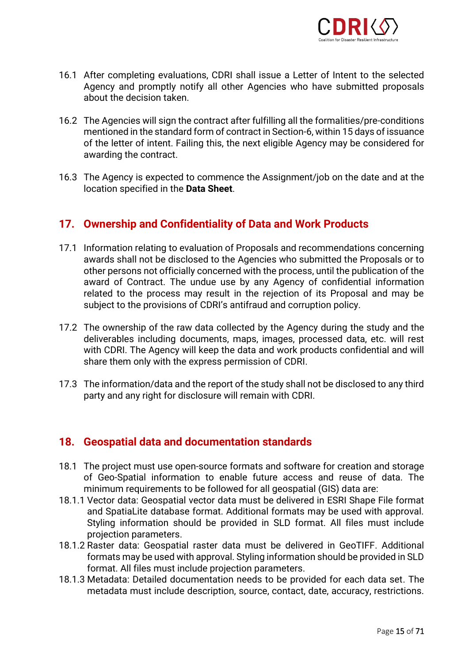

- 16.1 After completing evaluations, CDRI shall issue a Letter of Intent to the selected Agency and promptly notify all other Agencies who have submitted proposals about the decision taken.
- 16.2 The Agencies will sign the contract after fulfilling all the formalities/pre-conditions mentioned in the standard form of contract in Section-6, within 15 days of issuance of the letter of intent. Failing this, the next eligible Agency may be considered for awarding the contract.
- 16.3 The Agency is expected to commence the Assignment/job on the date and at the location specified in the **Data Sheet**.

## **17. Ownership and Confidentiality of Data and Work Products**

- 17.1 Information relating to evaluation of Proposals and recommendations concerning awards shall not be disclosed to the Agencies who submitted the Proposals or to other persons not officially concerned with the process, until the publication of the award of Contract. The undue use by any Agency of confidential information related to the process may result in the rejection of its Proposal and may be subject to the provisions of CDRI's antifraud and corruption policy.
- 17.2 The ownership of the raw data collected by the Agency during the study and the deliverables including documents, maps, images, processed data, etc. will rest with CDRI. The Agency will keep the data and work products confidential and will share them only with the express permission of CDRI.
- 17.3 The information/data and the report of the study shall not be disclosed to any third party and any right for disclosure will remain with CDRI.

### **18. Geospatial data and documentation standards**

- 18.1 The project must use open-source formats and software for creation and storage of Geo-Spatial information to enable future access and reuse of data. The minimum requirements to be followed for all geospatial (GIS) data are:
- 18.1.1 Vector data: Geospatial vector data must be delivered in ESRI Shape File format and SpatiaLite database format. Additional formats may be used with approval. Styling information should be provided in SLD format. All files must include projection parameters.
- 18.1.2 Raster data: Geospatial raster data must be delivered in GeoTIFF. Additional formats may be used with approval. Styling information should be provided in SLD format. All files must include projection parameters.
- 18.1.3 Metadata: Detailed documentation needs to be provided for each data set. The metadata must include description, source, contact, date, accuracy, restrictions.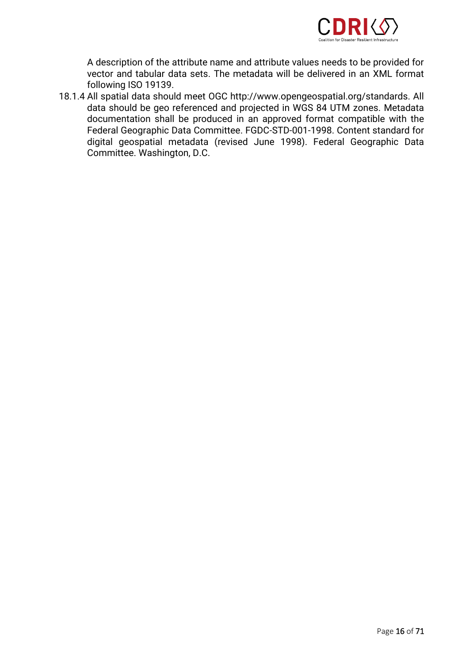

A description of the attribute name and attribute values needs to be provided for vector and tabular data sets. The metadata will be delivered in an XML format following ISO 19139.

18.1.4 All spatial data should meet OGC http://www.opengeospatial.org/standards. All data should be geo referenced and projected in WGS 84 UTM zones. Metadata documentation shall be produced in an approved format compatible with the Federal Geographic Data Committee. FGDC-STD-001-1998. Content standard for digital geospatial metadata (revised June 1998). Federal Geographic Data Committee. Washington, D.C.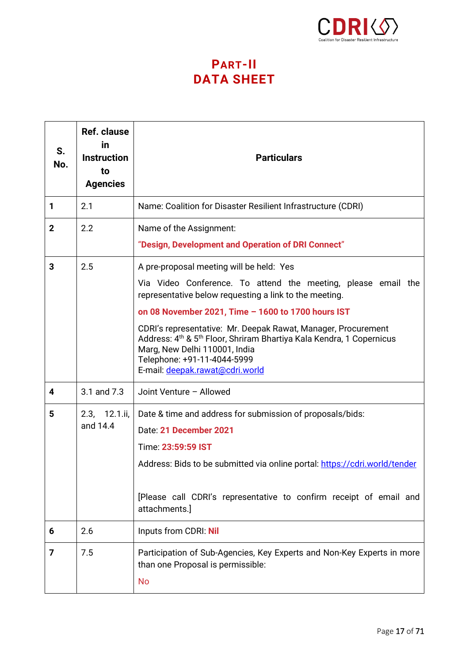

## **PART-II DATA SHEET**

| S.<br>No.               | <b>Ref. clause</b><br>in<br><b>Instruction</b><br>to<br><b>Agencies</b> | <b>Particulars</b>                                                                                                                                                                                                                                                                                                                                                                                                                                                                            |
|-------------------------|-------------------------------------------------------------------------|-----------------------------------------------------------------------------------------------------------------------------------------------------------------------------------------------------------------------------------------------------------------------------------------------------------------------------------------------------------------------------------------------------------------------------------------------------------------------------------------------|
| 1                       | 2.1                                                                     | Name: Coalition for Disaster Resilient Infrastructure (CDRI)                                                                                                                                                                                                                                                                                                                                                                                                                                  |
| $\overline{2}$          | 2.2                                                                     | Name of the Assignment:<br>"Design, Development and Operation of DRI Connect"                                                                                                                                                                                                                                                                                                                                                                                                                 |
| 3                       | 2.5                                                                     | A pre-proposal meeting will be held: Yes<br>Via Video Conference. To attend the meeting, please email the<br>representative below requesting a link to the meeting.<br>on 08 November 2021, Time - 1600 to 1700 hours IST<br>CDRI's representative: Mr. Deepak Rawat, Manager, Procurement<br>Address: 4 <sup>th</sup> & 5 <sup>th</sup> Floor, Shriram Bhartiya Kala Kendra, 1 Copernicus<br>Marg, New Delhi 110001, India<br>Telephone: +91-11-4044-5999<br>E-mail: deepak.rawat@cdri.world |
| 4                       | 3.1 and 7.3                                                             | Joint Venture - Allowed                                                                                                                                                                                                                                                                                                                                                                                                                                                                       |
| 5                       | 2.3, 12.1.ii,<br>and 14.4                                               | Date & time and address for submission of proposals/bids:<br>Date: 21 December 2021<br>Time: 23:59:59 IST<br>Address: Bids to be submitted via online portal: https://cdri.world/tender<br>[Please call CDRI's representative to confirm receipt of email and<br>attachments.]                                                                                                                                                                                                                |
| 6                       | 2.6                                                                     | Inputs from CDRI: Nil                                                                                                                                                                                                                                                                                                                                                                                                                                                                         |
| $\overline{\mathbf{z}}$ | 7.5                                                                     | Participation of Sub-Agencies, Key Experts and Non-Key Experts in more<br>than one Proposal is permissible:<br><b>No</b>                                                                                                                                                                                                                                                                                                                                                                      |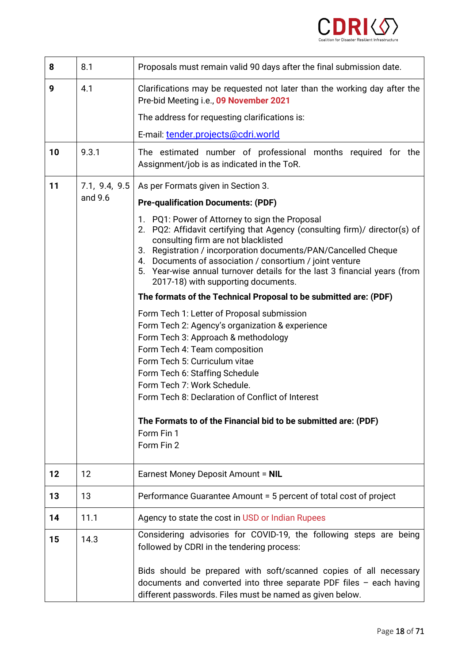

| 8  | 8.1           | Proposals must remain valid 90 days after the final submission date.                                                                                                                                                                                                                                                                                                                                                      |
|----|---------------|---------------------------------------------------------------------------------------------------------------------------------------------------------------------------------------------------------------------------------------------------------------------------------------------------------------------------------------------------------------------------------------------------------------------------|
| 9  | 4.1           | Clarifications may be requested not later than the working day after the<br>Pre-bid Meeting i.e., 09 November 2021                                                                                                                                                                                                                                                                                                        |
|    |               | The address for requesting clarifications is:                                                                                                                                                                                                                                                                                                                                                                             |
|    |               | E-mail: tender.projects@cdri.world                                                                                                                                                                                                                                                                                                                                                                                        |
| 10 | 9.3.1         | The estimated number of professional months required for the<br>Assignment/job is as indicated in the ToR.                                                                                                                                                                                                                                                                                                                |
| 11 | 7.1, 9.4, 9.5 | As per Formats given in Section 3.                                                                                                                                                                                                                                                                                                                                                                                        |
|    | and 9.6       | <b>Pre-qualification Documents: (PDF)</b>                                                                                                                                                                                                                                                                                                                                                                                 |
|    |               | 1. PQ1: Power of Attorney to sign the Proposal<br>2. PQ2: Affidavit certifying that Agency (consulting firm)/ director(s) of<br>consulting firm are not blacklisted<br>3. Registration / incorporation documents/PAN/Cancelled Cheque<br>4. Documents of association / consortium / joint venture<br>5. Year-wise annual turnover details for the last 3 financial years (from<br>2017-18) with supporting documents.     |
|    |               | The formats of the Technical Proposal to be submitted are: (PDF)                                                                                                                                                                                                                                                                                                                                                          |
|    |               | Form Tech 1: Letter of Proposal submission<br>Form Tech 2: Agency's organization & experience<br>Form Tech 3: Approach & methodology<br>Form Tech 4: Team composition<br>Form Tech 5: Curriculum vitae<br>Form Tech 6: Staffing Schedule<br>Form Tech 7: Work Schedule.<br>Form Tech 8: Declaration of Conflict of Interest<br>The Formats to of the Financial bid to be submitted are: (PDF)<br>Form Fin 1<br>Form Fin 2 |
| 12 | 12            | Earnest Money Deposit Amount = NIL                                                                                                                                                                                                                                                                                                                                                                                        |
| 13 | 13            | Performance Guarantee Amount = 5 percent of total cost of project                                                                                                                                                                                                                                                                                                                                                         |
| 14 | 11.1          | Agency to state the cost in USD or Indian Rupees                                                                                                                                                                                                                                                                                                                                                                          |
| 15 | 14.3          | Considering advisories for COVID-19, the following steps are being<br>followed by CDRI in the tendering process:                                                                                                                                                                                                                                                                                                          |
|    |               | Bids should be prepared with soft/scanned copies of all necessary<br>documents and converted into three separate PDF files - each having<br>different passwords. Files must be named as given below.                                                                                                                                                                                                                      |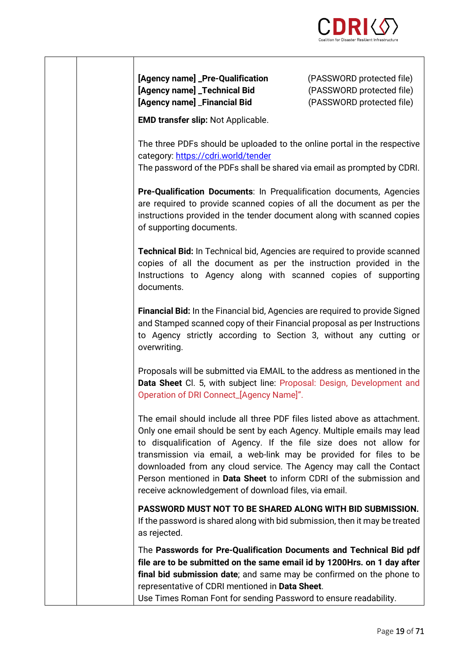

**[Agency name] \_Pre-Qualification** (PASSWORD protected file) **[Agency name] \_Technical Bid** (PASSWORD protected file) **[Agency name]** \_**Financial Bid** (PASSWORD protected file)

**EMD transfer slip:** Not Applicable.

The three PDFs should be uploaded to the online portal in the respective category:<https://cdri.world/tender> The password of the PDFs shall be shared via email as prompted by CDRI.

**Pre-Qualification Documents**: In Prequalification documents, Agencies are required to provide scanned copies of all the document as per the instructions provided in the tender document along with scanned copies of supporting documents.

**Technical Bid:** In Technical bid, Agencies are required to provide scanned copies of all the document as per the instruction provided in the Instructions to Agency along with scanned copies of supporting documents.

**Financial Bid:** In the Financial bid, Agencies are required to provide Signed and Stamped scanned copy of their Financial proposal as per Instructions to Agency strictly according to Section 3, without any cutting or overwriting.

Proposals will be submitted via EMAIL to the address as mentioned in the **Data Sheet** Cl. 5, with subject line: Proposal: Design, Development and Operation of DRI Connect\_[Agency Name]".

The email should include all three PDF files listed above as attachment. Only one email should be sent by each Agency. Multiple emails may lead to disqualification of Agency. If the file size does not allow for transmission via email, a web-link may be provided for files to be downloaded from any cloud service. The Agency may call the Contact Person mentioned in **Data Sheet** to inform CDRI of the submission and receive acknowledgement of download files, via email.

**PASSWORD MUST NOT TO BE SHARED ALONG WITH BID SUBMISSION.** If the password is shared along with bid submission, then it may be treated as rejected.

The **Passwords for Pre-Qualification Documents and Technical Bid pdf file are to be submitted on the same email id by 1200Hrs. on 1 day after final bid submission date**; and same may be confirmed on the phone to representative of CDRI mentioned in **Data Sheet**.

Use Times Roman Font for sending Password to ensure readability.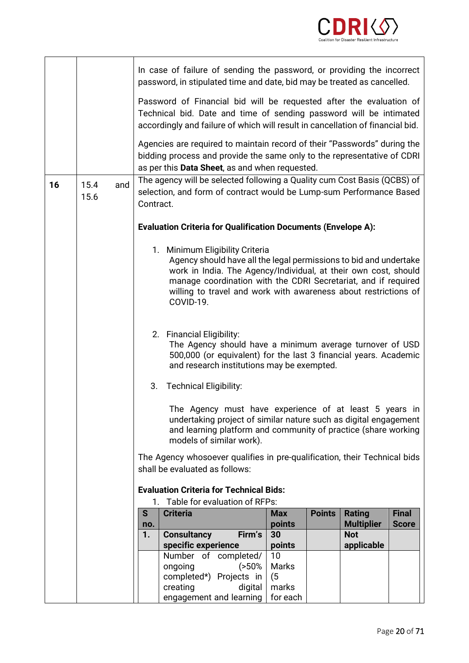

|    |                     |           | In case of failure of sending the password, or providing the incorrect<br>password, in stipulated time and date, bid may be treated as cancelled.                                                                                                                                                                         |              |  |                                 |              |  |  |  |  |
|----|---------------------|-----------|---------------------------------------------------------------------------------------------------------------------------------------------------------------------------------------------------------------------------------------------------------------------------------------------------------------------------|--------------|--|---------------------------------|--------------|--|--|--|--|
|    |                     |           | Password of Financial bid will be requested after the evaluation of<br>Technical bid. Date and time of sending password will be intimated<br>accordingly and failure of which will result in cancellation of financial bid.                                                                                               |              |  |                                 |              |  |  |  |  |
|    |                     |           | Agencies are required to maintain record of their "Passwords" during the<br>bidding process and provide the same only to the representative of CDRI<br>as per this Data Sheet, as and when requested.                                                                                                                     |              |  |                                 |              |  |  |  |  |
| 16 | 15.4<br>and<br>15.6 |           | The agency will be selected following a Quality cum Cost Basis (QCBS) of<br>selection, and form of contract would be Lump-sum Performance Based<br>Contract.                                                                                                                                                              |              |  |                                 |              |  |  |  |  |
|    |                     |           | <b>Evaluation Criteria for Qualification Documents (Envelope A):</b>                                                                                                                                                                                                                                                      |              |  |                                 |              |  |  |  |  |
|    |                     |           | 1. Minimum Eligibility Criteria<br>Agency should have all the legal permissions to bid and undertake<br>work in India. The Agency/Individual, at their own cost, should<br>manage coordination with the CDRI Secretariat, and if required<br>willing to travel and work with awareness about restrictions of<br>COVID-19. |              |  |                                 |              |  |  |  |  |
|    |                     |           | 2. Financial Eligibility:<br>The Agency should have a minimum average turnover of USD<br>500,000 (or equivalent) for the last 3 financial years. Academic<br>and research institutions may be exempted.                                                                                                                   |              |  |                                 |              |  |  |  |  |
|    |                     |           | <b>Technical Eligibility:</b><br>3.                                                                                                                                                                                                                                                                                       |              |  |                                 |              |  |  |  |  |
|    |                     |           | The Agency must have experience of at least 5 years in<br>undertaking project of similar nature such as digital engagement<br>and learning platform and community of practice (share working<br>models of similar work).                                                                                                  |              |  |                                 |              |  |  |  |  |
|    |                     |           | The Agency whosoever qualifies in pre-qualification, their Technical bids<br>shall be evaluated as follows:                                                                                                                                                                                                               |              |  |                                 |              |  |  |  |  |
|    |                     |           | <b>Evaluation Criteria for Technical Bids:</b>                                                                                                                                                                                                                                                                            |              |  |                                 |              |  |  |  |  |
|    |                     | S         | Table for evaluation of RFPs:<br>1.<br><b>Criteria</b><br><b>Points</b><br><b>Rating</b><br><b>Final</b><br><b>Max</b>                                                                                                                                                                                                    |              |  |                                 |              |  |  |  |  |
|    |                     | no.<br>1. | <b>Consultancy</b><br>Firm's                                                                                                                                                                                                                                                                                              | points<br>30 |  | <b>Multiplier</b><br><b>Not</b> | <b>Score</b> |  |  |  |  |
|    |                     |           | specific experience                                                                                                                                                                                                                                                                                                       | points       |  | applicable                      |              |  |  |  |  |
|    |                     |           | Number of completed/                                                                                                                                                                                                                                                                                                      | 10           |  |                                 |              |  |  |  |  |
|    |                     |           | ongoing<br>(50%<br>completed*) Projects in                                                                                                                                                                                                                                                                                | Marks<br>(5) |  |                                 |              |  |  |  |  |
|    |                     |           | creating<br>digital                                                                                                                                                                                                                                                                                                       | marks        |  |                                 |              |  |  |  |  |
|    |                     |           | engagement and learning                                                                                                                                                                                                                                                                                                   | for each     |  |                                 |              |  |  |  |  |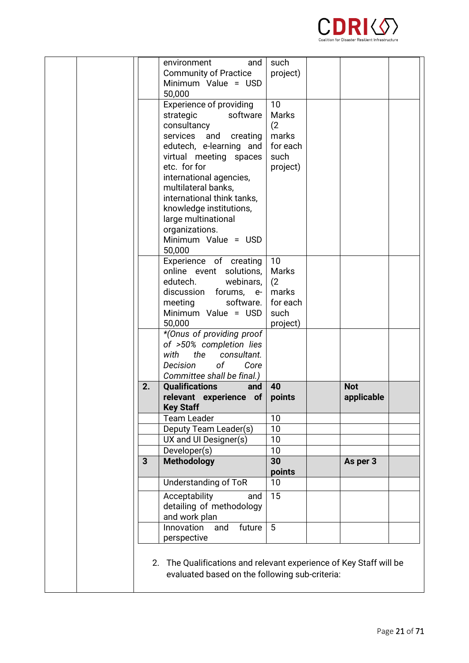

| 2. | <b>Qualifications</b><br>and<br>relevant experience of<br><b>Key Staff</b><br><b>Team Leader</b> | 40<br>points<br>10  | <b>Not</b><br>applicable |  |
|----|--------------------------------------------------------------------------------------------------|---------------------|--------------------------|--|
|    | of<br>Decision<br>Core<br>Committee shall be final.)                                             |                     |                          |  |
|    | *(Onus of providing proof<br>of >50% completion lies<br>the<br>consultant.<br>with               |                     |                          |  |
|    | Minimum Value = USD<br>50,000                                                                    | such<br>project)    |                          |  |
|    | discussion<br>forums, e-<br>meeting<br>software.                                                 | marks<br>for each   |                          |  |
|    | online event<br>solutions,<br>edutech.<br>webinars,                                              | <b>Marks</b><br>(2) |                          |  |
|    | 50,000<br>Experience of creating                                                                 | 10                  |                          |  |
|    | organizations.<br>Minimum Value = USD                                                            |                     |                          |  |
|    | knowledge institutions,<br>large multinational                                                   |                     |                          |  |
|    | multilateral banks,<br>international think tanks,                                                |                     |                          |  |
|    | international agencies,                                                                          |                     |                          |  |
|    | virtual meeting spaces<br>etc. for for                                                           | such<br>project)    |                          |  |
|    | edutech, e-learning and                                                                          | for each            |                          |  |
|    | consultancy<br>services<br>and<br>creating                                                       | (2)<br>marks        |                          |  |
|    | software<br>strategic                                                                            | <b>Marks</b>        |                          |  |
|    | Experience of providing                                                                          | 10                  |                          |  |
|    | Minimum Value = USD<br>50,000                                                                    |                     |                          |  |
|    | environment<br>and<br><b>Community of Practice</b>                                               | such<br>project)    |                          |  |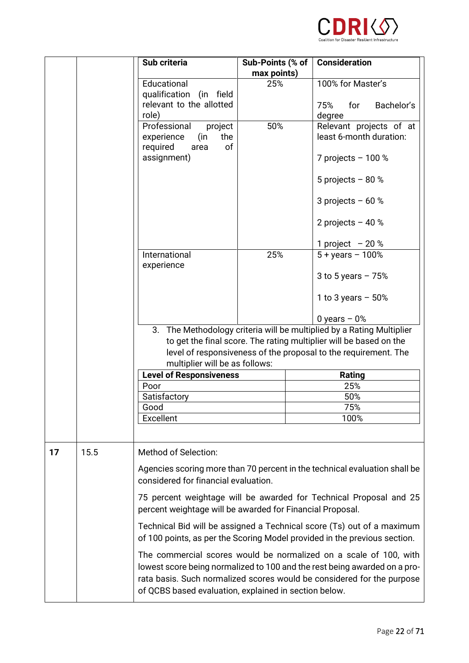

|    |      | Sub criteria                                                                                                                                                                                                                                        | Sub-Points (% of   | <b>Consideration</b>                                                                                                                                                                                                     |  |  |  |
|----|------|-----------------------------------------------------------------------------------------------------------------------------------------------------------------------------------------------------------------------------------------------------|--------------------|--------------------------------------------------------------------------------------------------------------------------------------------------------------------------------------------------------------------------|--|--|--|
|    |      | Educational<br>qualification (in field<br>relevant to the allotted                                                                                                                                                                                  | max points)<br>25% | 100% for Master's<br>Bachelor's<br>75%<br>for                                                                                                                                                                            |  |  |  |
|    |      | role)<br>Professional<br>project<br>experience<br>(in<br>the<br>of<br>required<br>area                                                                                                                                                              | 50%                | degree<br>Relevant projects of at<br>least 6-month duration:                                                                                                                                                             |  |  |  |
|    |      | assignment)                                                                                                                                                                                                                                         |                    | 7 projects $-100%$<br>5 projects $-80%$                                                                                                                                                                                  |  |  |  |
|    |      |                                                                                                                                                                                                                                                     |                    | 3 projects $-60$ %                                                                                                                                                                                                       |  |  |  |
|    |      |                                                                                                                                                                                                                                                     |                    | 2 projects $-40$ %<br>1 project $-20%$                                                                                                                                                                                   |  |  |  |
|    |      | International<br>experience                                                                                                                                                                                                                         | 25%                | $5 + years - 100%$<br>3 to 5 years $-75%$                                                                                                                                                                                |  |  |  |
|    |      |                                                                                                                                                                                                                                                     |                    | 1 to 3 years $-50%$<br>$0$ years $-0$ %                                                                                                                                                                                  |  |  |  |
|    |      | The Methodology criteria will be multiplied by a Rating Multiplier<br>3.<br>to get the final score. The rating multiplier will be based on the<br>level of responsiveness of the proposal to the requirement. The<br>multiplier will be as follows: |                    |                                                                                                                                                                                                                          |  |  |  |
|    |      | <b>Level of Responsiveness</b>                                                                                                                                                                                                                      |                    | Rating                                                                                                                                                                                                                   |  |  |  |
|    |      | Poor                                                                                                                                                                                                                                                |                    | 25%                                                                                                                                                                                                                      |  |  |  |
|    |      | Satisfactory                                                                                                                                                                                                                                        |                    | 50%                                                                                                                                                                                                                      |  |  |  |
|    |      | Good                                                                                                                                                                                                                                                |                    | 75%                                                                                                                                                                                                                      |  |  |  |
|    |      | Excellent                                                                                                                                                                                                                                           |                    | 100%                                                                                                                                                                                                                     |  |  |  |
| 17 | 15.5 | <b>Method of Selection:</b><br>considered for financial evaluation.                                                                                                                                                                                 |                    | Agencies scoring more than 70 percent in the technical evaluation shall be                                                                                                                                               |  |  |  |
|    |      | percent weightage will be awarded for Financial Proposal.                                                                                                                                                                                           |                    | 75 percent weightage will be awarded for Technical Proposal and 25                                                                                                                                                       |  |  |  |
|    |      |                                                                                                                                                                                                                                                     |                    | Technical Bid will be assigned a Technical score (Ts) out of a maximum<br>of 100 points, as per the Scoring Model provided in the previous section.                                                                      |  |  |  |
|    |      | of QCBS based evaluation, explained in section below.                                                                                                                                                                                               |                    | The commercial scores would be normalized on a scale of 100, with<br>lowest score being normalized to 100 and the rest being awarded on a pro-<br>rata basis. Such normalized scores would be considered for the purpose |  |  |  |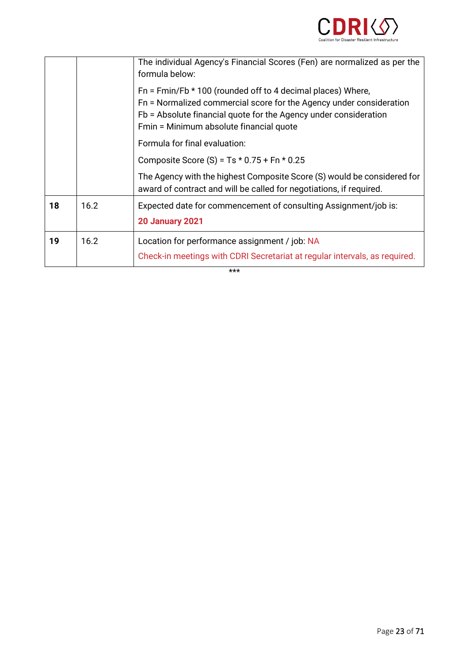

|    |      | The individual Agency's Financial Scores (Fen) are normalized as per the<br>formula below:                                                                                                                                                          |
|----|------|-----------------------------------------------------------------------------------------------------------------------------------------------------------------------------------------------------------------------------------------------------|
|    |      | Fn = Fmin/Fb $*$ 100 (rounded off to 4 decimal places) Where,<br>Fn = Normalized commercial score for the Agency under consideration<br>Fb = Absolute financial quote for the Agency under consideration<br>Fmin = Minimum absolute financial quote |
|    |      | Formula for final evaluation:                                                                                                                                                                                                                       |
|    |      | Composite Score (S) = $Ts * 0.75 + Fn * 0.25$                                                                                                                                                                                                       |
|    |      | The Agency with the highest Composite Score (S) would be considered for<br>award of contract and will be called for negotiations, if required.                                                                                                      |
| 18 | 16.2 | Expected date for commencement of consulting Assignment/job is:<br><b>20 January 2021</b>                                                                                                                                                           |
| 19 | 16.2 | Location for performance assignment / job: NA<br>Check-in meetings with CDRI Secretariat at regular intervals, as required.                                                                                                                         |

\*\*\*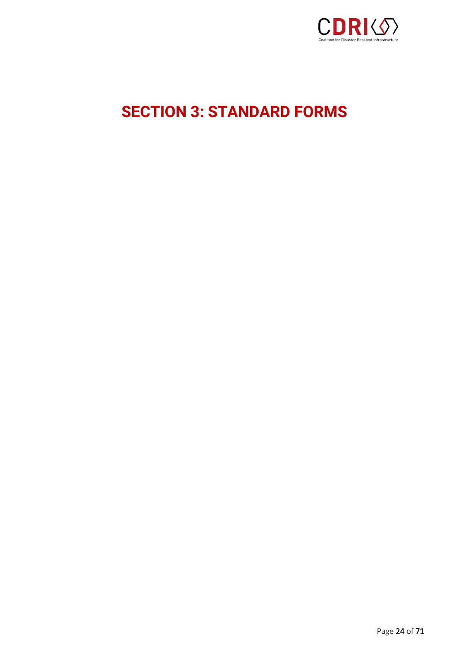

# <span id="page-23-0"></span>**SECTION 3: STANDARD FORMS**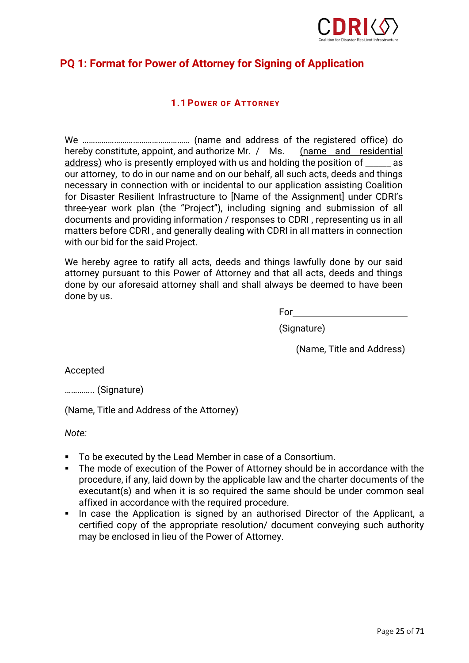

## **PQ 1: Format for Power of Attorney for Signing of Application**

### **1.1POWER OF ATTORNEY**

We …………………………………………… (name and address of the registered office) do hereby constitute, appoint, and authorize Mr. / Ms. (name and residential address) who is presently employed with us and holding the position of \_\_\_\_\_\_ as our attorney, to do in our name and on our behalf, all such acts, deeds and things necessary in connection with or incidental to our application assisting Coalition for Disaster Resilient Infrastructure to [Name of the Assignment] under CDRI's three-year work plan (the "Project"), including signing and submission of all documents and providing information / responses to CDRI , representing us in all matters before CDRI , and generally dealing with CDRI in all matters in connection with our bid for the said Project.

We hereby agree to ratify all acts, deeds and things lawfully done by our said attorney pursuant to this Power of Attorney and that all acts, deeds and things done by our aforesaid attorney shall and shall always be deemed to have been done by us.

For

(Signature)

(Name, Title and Address)

Accepted

………….. (Signature)

(Name, Title and Address of the Attorney)

*Note:*

- To be executed by the Lead Member in case of a Consortium.
- The mode of execution of the Power of Attorney should be in accordance with the procedure, if any, laid down by the applicable law and the charter documents of the executant(s) and when it is so required the same should be under common seal affixed in accordance with the required procedure.
- In case the Application is signed by an authorised Director of the Applicant, a certified copy of the appropriate resolution/ document conveying such authority may be enclosed in lieu of the Power of Attorney.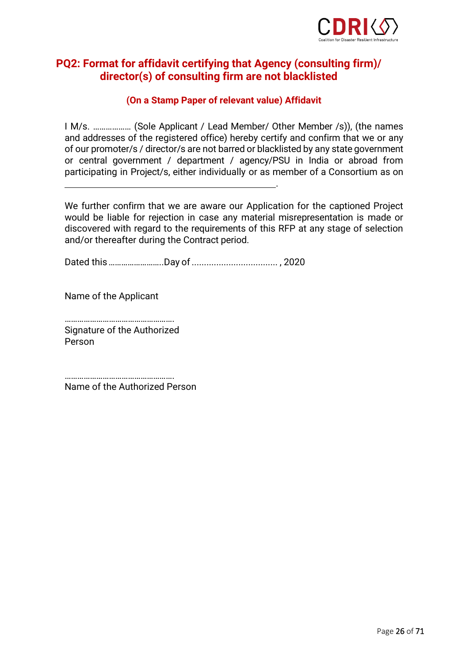

## **PQ2: Format for affidavit certifying that Agency (consulting firm)/ director(s) of consulting firm are not blacklisted**

### **(On a Stamp Paper of relevant value) Affidavit**

I M/s. ……………… (Sole Applicant / Lead Member/ Other Member /s)), (the names and addresses of the registered office) hereby certify and confirm that we or any of our promoter/s / director/s are not barred or blacklisted by any state government or central government / department / agency/PSU in India or abroad from participating in Project/s, either individually or as member of a Consortium as on

.

We further confirm that we are aware our Application for the captioned Project would be liable for rejection in case any material misrepresentation is made or discovered with regard to the requirements of this RFP at any stage of selection and/or thereafter during the Contract period.

Dated this……………………..Day of................................... , 2020

Name of the Applicant

……………………………………………. Signature of the Authorized Person

……………………………………………. Name of the Authorized Person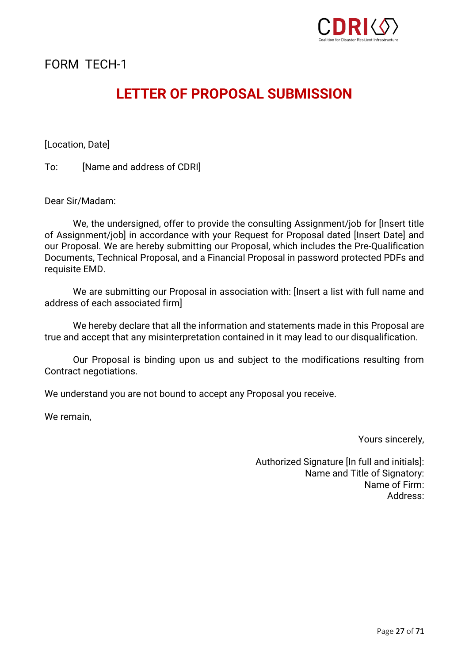

## **LETTER OF PROPOSAL SUBMISSION**

[Location, Date]

To: [Name and address of CDRI]

Dear Sir/Madam:

We, the undersigned, offer to provide the consulting Assignment/job for [Insert title of Assignment/job] in accordance with your Request for Proposal dated [Insert Date] and our Proposal. We are hereby submitting our Proposal, which includes the Pre-Qualification Documents, Technical Proposal, and a Financial Proposal in password protected PDFs and requisite EMD.

We are submitting our Proposal in association with: [Insert a list with full name and address of each associated firm]

We hereby declare that all the information and statements made in this Proposal are true and accept that any misinterpretation contained in it may lead to our disqualification.

Our Proposal is binding upon us and subject to the modifications resulting from Contract negotiations.

We understand you are not bound to accept any Proposal you receive.

We remain,

Yours sincerely,

Authorized Signature [In full and initials]: Name and Title of Signatory: Name of Firm: Address: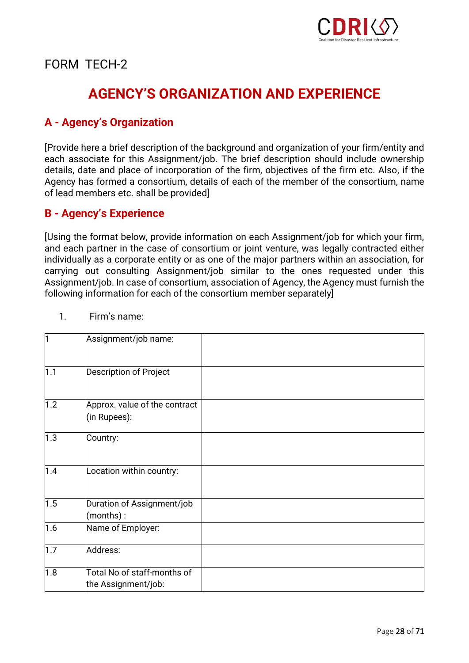

## **AGENCY'S ORGANIZATION AND EXPERIENCE**

## **A - Agency's Organization**

[Provide here a brief description of the background and organization of your firm/entity and each associate for this Assignment/job. The brief description should include ownership details, date and place of incorporation of the firm, objectives of the firm etc. Also, if the Agency has formed a consortium, details of each of the member of the consortium, name of lead members etc. shall be provided]

## **B - Agency's Experience**

[Using the format below, provide information on each Assignment/job for which your firm, and each partner in the case of consortium or joint venture, was legally contracted either individually as a corporate entity or as one of the major partners within an association, for carrying out consulting Assignment/job similar to the ones requested under this Assignment/job. In case of consortium, association of Agency, the Agency must furnish the following information for each of the consortium member separately]

| ł1  | Assignment/job name:                               |  |
|-----|----------------------------------------------------|--|
| 1.1 | Description of Project                             |  |
| 1.2 | Approx. value of the contract<br>(in Rupees):      |  |
| 1.3 | Country:                                           |  |
| 1.4 | Location within country:                           |  |
| 1.5 | Duration of Assignment/job<br>(months):            |  |
| 1.6 | Name of Employer:                                  |  |
| 1.7 | Address:                                           |  |
| 1.8 | Total No of staff-months of<br>the Assignment/job: |  |

1. Firm's name: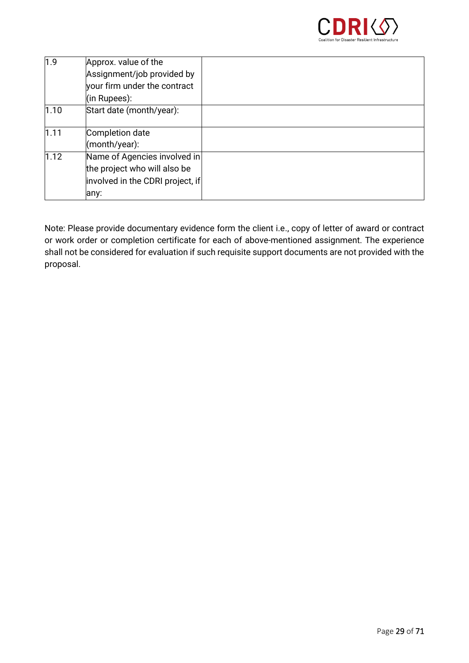

| 1.9  | Approx. value of the             |  |
|------|----------------------------------|--|
|      | Assignment/job provided by       |  |
|      | your firm under the contract     |  |
|      | (in Rupees):                     |  |
| 1.10 | Start date (month/year):         |  |
|      |                                  |  |
| 1.11 | Completion date                  |  |
|      | (month/year):                    |  |
| 1.12 | Name of Agencies involved in     |  |
|      | the project who will also be     |  |
|      | involved in the CDRI project, if |  |
|      | lany:                            |  |

Note: Please provide documentary evidence form the client i.e., copy of letter of award or contract or work order or completion certificate for each of above-mentioned assignment. The experience shall not be considered for evaluation if such requisite support documents are not provided with the proposal.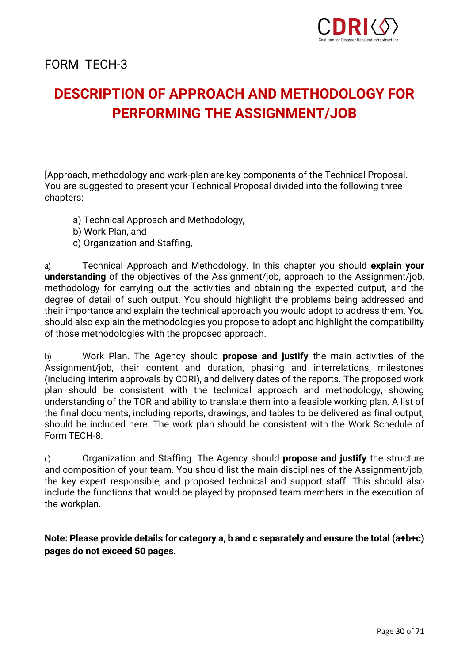

## **DESCRIPTION OF APPROACH AND METHODOLOGY FOR PERFORMING THE ASSIGNMENT/JOB**

[Approach, methodology and work-plan are key components of the Technical Proposal. You are suggested to present your Technical Proposal divided into the following three chapters:

- a) Technical Approach and Methodology,
- b) Work Plan, and
- c) Organization and Staffing,

a) Technical Approach and Methodology. In this chapter you should **explain your understanding** of the objectives of the Assignment/job, approach to the Assignment/job, methodology for carrying out the activities and obtaining the expected output, and the degree of detail of such output. You should highlight the problems being addressed and their importance and explain the technical approach you would adopt to address them. You should also explain the methodologies you propose to adopt and highlight the compatibility of those methodologies with the proposed approach.

b) Work Plan. The Agency should **propose and justify** the main activities of the Assignment/job, their content and duration, phasing and interrelations, milestones (including interim approvals by CDRI), and delivery dates of the reports. The proposed work plan should be consistent with the technical approach and methodology, showing understanding of the TOR and ability to translate them into a feasible working plan. A list of the final documents, including reports, drawings, and tables to be delivered as final output, should be included here. The work plan should be consistent with the Work Schedule of Form TECH-8.

c) Organization and Staffing. The Agency should **propose and justify** the structure and composition of your team. You should list the main disciplines of the Assignment/job, the key expert responsible, and proposed technical and support staff. This should also include the functions that would be played by proposed team members in the execution of the workplan.

**Note: Please provide details for category a, b and c separately and ensure the total (a+b+c) pages do not exceed 50 pages.**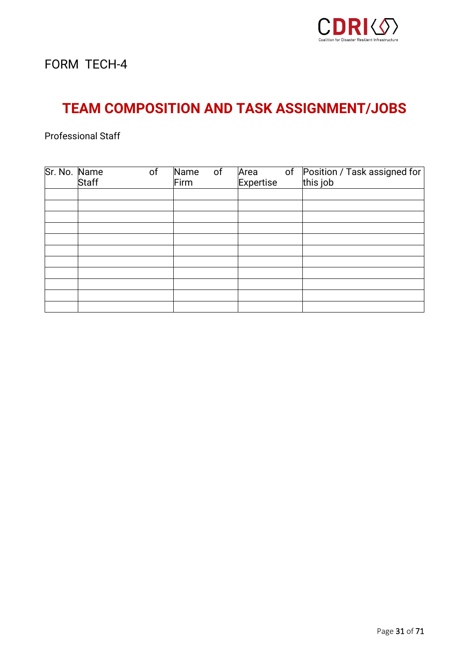

## **TEAM COMPOSITION AND TASK ASSIGNMENT/JOBS**

Professional Staff

| Sr. No. Name | <b>Staff</b> | of | Name<br>Firm | of | Area<br>Expertise | of Position / Task assigned for<br>this job |
|--------------|--------------|----|--------------|----|-------------------|---------------------------------------------|
|              |              |    |              |    |                   |                                             |
|              |              |    |              |    |                   |                                             |
|              |              |    |              |    |                   |                                             |
|              |              |    |              |    |                   |                                             |
|              |              |    |              |    |                   |                                             |
|              |              |    |              |    |                   |                                             |
|              |              |    |              |    |                   |                                             |
|              |              |    |              |    |                   |                                             |
|              |              |    |              |    |                   |                                             |
|              |              |    |              |    |                   |                                             |
|              |              |    |              |    |                   |                                             |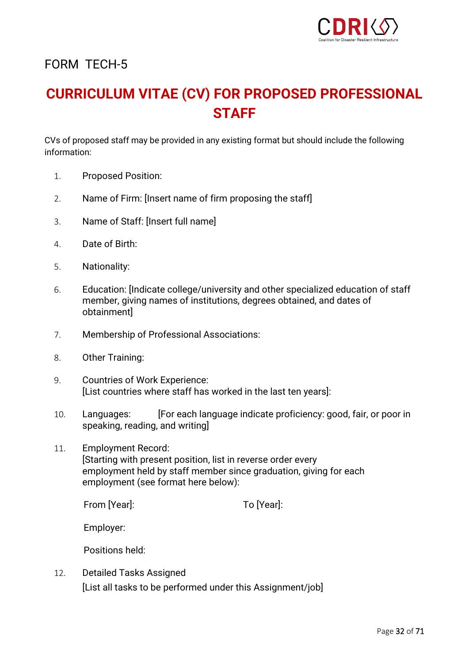

## **CURRICULUM VITAE (CV) FOR PROPOSED PROFESSIONAL STAFF**

CVs of proposed staff may be provided in any existing format but should include the following information:

- 1. Proposed Position:
- 2. Name of Firm: [Insert name of firm proposing the staff]
- 3. Name of Staff: [Insert full name]
- 4. Date of Birth:
- 5. Nationality:
- 6. Education: [Indicate college/university and other specialized education of staff member, giving names of institutions, degrees obtained, and dates of obtainment]
- 7. Membership of Professional Associations:
- 8. Other Training:
- 9. Countries of Work Experience: [List countries where staff has worked in the last ten years]:
- 10. Languages: [For each language indicate proficiency: good, fair, or poor in speaking, reading, and writing]
- 11. Employment Record: [Starting with present position, list in reverse order every employment held by staff member since graduation, giving for each employment (see format here below):

From [Year]: To [Year]:

Employer:

Positions held:

12. Detailed Tasks Assigned [List all tasks to be performed under this Assignment/job]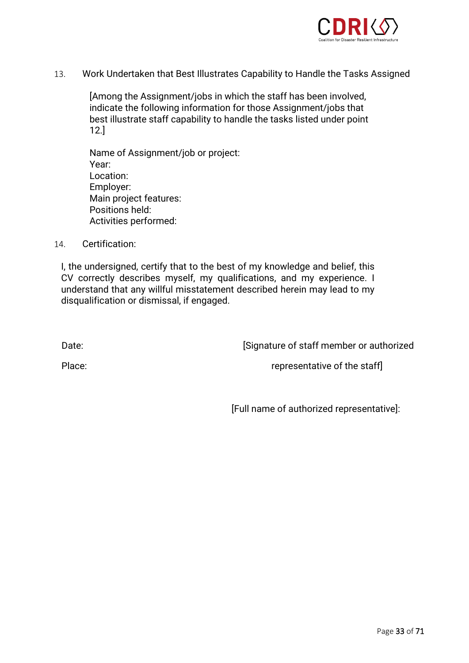

13. Work Undertaken that Best Illustrates Capability to Handle the Tasks Assigned

[Among the Assignment/jobs in which the staff has been involved, indicate the following information for those Assignment/jobs that best illustrate staff capability to handle the tasks listed under point 12.]

Name of Assignment/job or project: Year: Location: Employer: Main project features: Positions held: Activities performed:

14. Certification:

I, the undersigned, certify that to the best of my knowledge and belief, this CV correctly describes myself, my qualifications, and my experience. I understand that any willful misstatement described herein may lead to my disqualification or dismissal, if engaged.

Date: **Date: EXECUTE:** [Signature of staff member or authorized]

Place: Place: representative of the staff

[Full name of authorized representative]: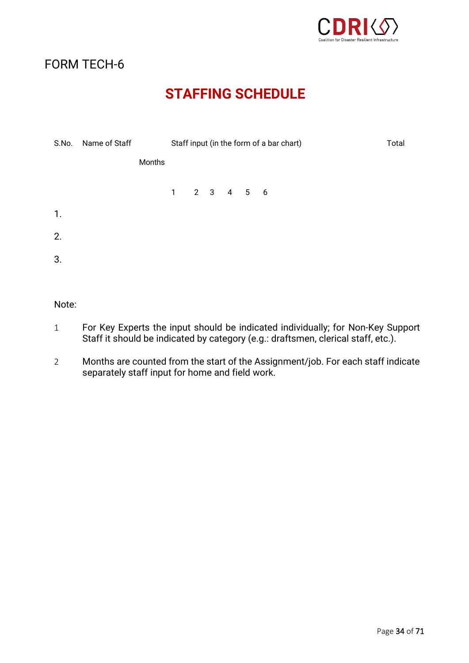

## **STAFFING SCHEDULE**

| S.No. | Name of Staff |        | Staff input (in the form of a bar chart)         |  |  |  |  | Total |
|-------|---------------|--------|--------------------------------------------------|--|--|--|--|-------|
|       |               | Months |                                                  |  |  |  |  |       |
|       |               |        | $1 \qquad 2 \qquad 3 \qquad 4 \qquad 5 \qquad 6$ |  |  |  |  |       |
| 1.    |               |        |                                                  |  |  |  |  |       |
| 2.    |               |        |                                                  |  |  |  |  |       |
| 3.    |               |        |                                                  |  |  |  |  |       |
|       |               |        |                                                  |  |  |  |  |       |

Note:

- 1 For Key Experts the input should be indicated individually; for Non-Key Support Staff it should be indicated by category (e.g.: draftsmen, clerical staff, etc.).
- 2 Months are counted from the start of the Assignment/job. For each staff indicate separately staff input for home and field work.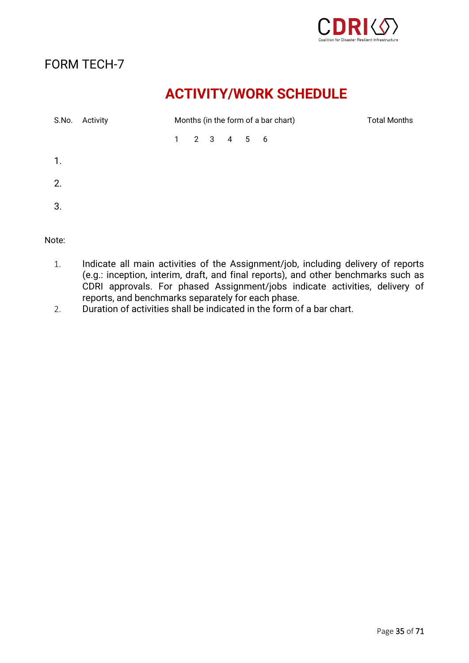

## **ACTIVITY/WORK SCHEDULE**

| S.No. | Activity | Months (in the form of a bar chart) |  |                                             |  |  | <b>Total Months</b> |  |
|-------|----------|-------------------------------------|--|---------------------------------------------|--|--|---------------------|--|
|       |          |                                     |  | $1 \quad 2 \quad 3 \quad 4 \quad 5 \quad 6$ |  |  |                     |  |
| 1.    |          |                                     |  |                                             |  |  |                     |  |
| 2.    |          |                                     |  |                                             |  |  |                     |  |
| 3.    |          |                                     |  |                                             |  |  |                     |  |

Note:

- 1. Indicate all main activities of the Assignment/job, including delivery of reports (e.g.: inception, interim, draft, and final reports), and other benchmarks such as CDRI approvals. For phased Assignment/jobs indicate activities, delivery of reports, and benchmarks separately for each phase.
- 2. Duration of activities shall be indicated in the form of a bar chart.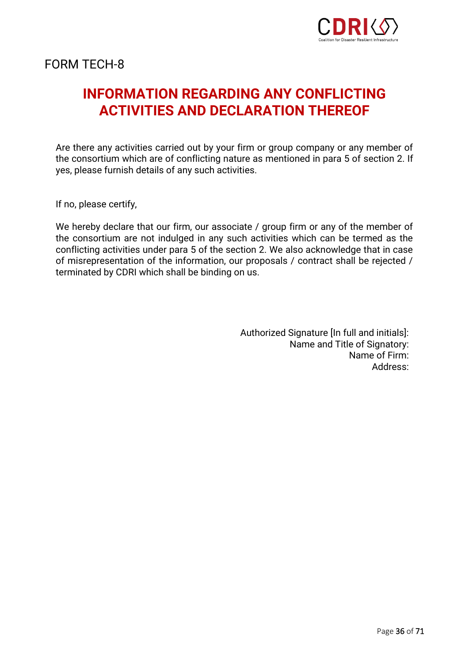

## **INFORMATION REGARDING ANY CONFLICTING ACTIVITIES AND DECLARATION THEREOF**

Are there any activities carried out by your firm or group company or any member of the consortium which are of conflicting nature as mentioned in para 5 of section 2. If yes, please furnish details of any such activities.

If no, please certify,

We hereby declare that our firm, our associate / group firm or any of the member of the consortium are not indulged in any such activities which can be termed as the conflicting activities under para 5 of the section 2. We also acknowledge that in case of misrepresentation of the information, our proposals / contract shall be rejected / terminated by CDRI which shall be binding on us.

> Authorized Signature [In full and initials]: Name and Title of Signatory: Name of Firm: Address: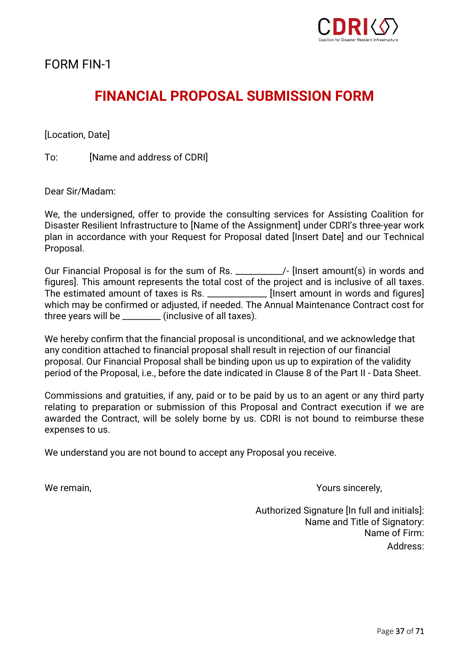

FORM FIN-1

## **FINANCIAL PROPOSAL SUBMISSION FORM**

[Location, Date]

To: **IName and address of CDRI** 

Dear Sir/Madam:

We, the undersigned, offer to provide the consulting services for Assisting Coalition for Disaster Resilient Infrastructure to [Name of the Assignment] under CDRI's three-year work plan in accordance with your Request for Proposal dated [Insert Date] and our Technical Proposal.

Our Financial Proposal is for the sum of Rs. \_\_\_\_\_\_\_\_\_\_\_/- [Insert amount(s) in words and figures]. This amount represents the total cost of the project and is inclusive of all taxes. The estimated amount of taxes is Rs. \_\_\_\_\_\_\_\_\_\_\_\_\_\_[Insert amount in words and figures] which may be confirmed or adjusted, if needed. The Annual Maintenance Contract cost for three years will be \_\_\_\_\_\_\_\_\_ (inclusive of all taxes).

We hereby confirm that the financial proposal is unconditional, and we acknowledge that any condition attached to financial proposal shall result in rejection of our financial proposal. Our Financial Proposal shall be binding upon us up to expiration of the validity period of the Proposal, i.e., before the date indicated in Clause 8 of the Part II - Data Sheet.

Commissions and gratuities, if any, paid or to be paid by us to an agent or any third party relating to preparation or submission of this Proposal and Contract execution if we are awarded the Contract, will be solely borne by us. CDRI is not bound to reimburse these expenses to us.

We understand you are not bound to accept any Proposal you receive.

We remain,  $\blacksquare$  Yours sincerely,

Authorized Signature [In full and initials]: Name and Title of Signatory: Name of Firm: Address: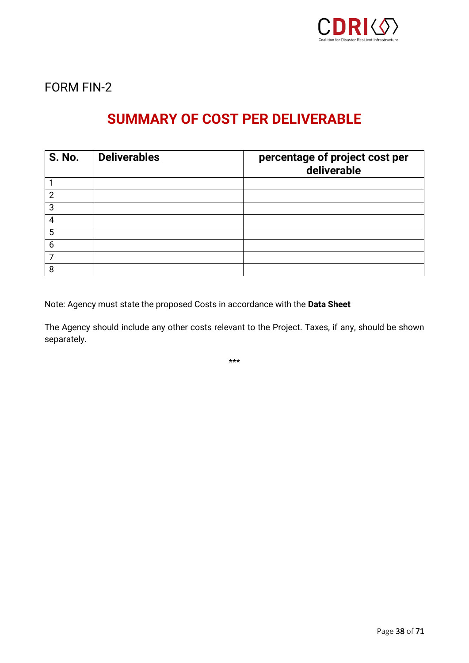

FORM FIN-2

## **SUMMARY OF COST PER DELIVERABLE**

| <b>S. No.</b> | <b>Deliverables</b> | percentage of project cost per<br>deliverable |
|---------------|---------------------|-----------------------------------------------|
|               |                     |                                               |
| 2             |                     |                                               |
| 3             |                     |                                               |
|               |                     |                                               |
| 5             |                     |                                               |
| 6             |                     |                                               |
|               |                     |                                               |
| 8             |                     |                                               |

Note: Agency must state the proposed Costs in accordance with the **Data Sheet**

The Agency should include any other costs relevant to the Project. Taxes, if any, should be shown separately.

\*\*\*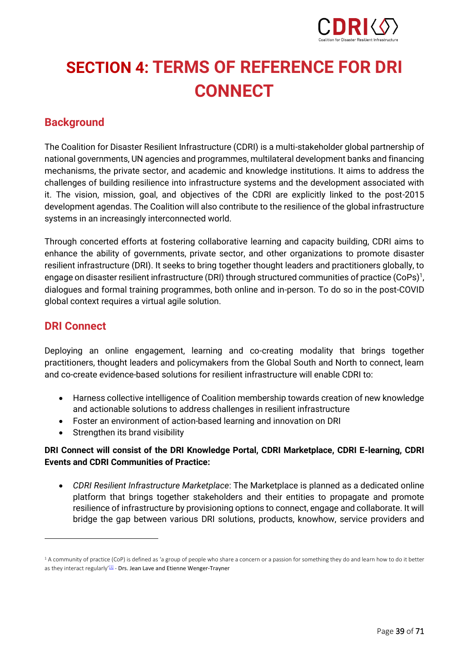

# <span id="page-38-0"></span>**SECTION 4: TERMS OF REFERENCE FOR DRI CONNECT**

## **Background**

The Coalition for Disaster Resilient Infrastructure (CDRI) is a multi-stakeholder global partnership of national governments, UN agencies and programmes, multilateral development banks and financing mechanisms, the private sector, and academic and knowledge institutions. It aims to address the challenges of building resilience into infrastructure systems and the development associated with it. The vision, mission, goal, and objectives of the CDRI are explicitly linked to the post-2015 development agendas. The Coalition will also contribute to the resilience of the global infrastructure systems in an increasingly interconnected world.

Through concerted efforts at fostering collaborative learning and capacity building, CDRI aims to enhance the ability of governments, private sector, and other organizations to promote disaster resilient infrastructure (DRI). It seeks to bring together thought leaders and practitioners globally, to engage on disaster resilient infrastructure (DRI) through structured communities of practice (CoPs)<sup>1</sup>, dialogues and formal training programmes, both online and in-person. To do so in the post-COVID global context requires a virtual agile solution.

## **DRI Connect**

Deploying an online engagement, learning and co-creating modality that brings together practitioners, thought leaders and policymakers from the Global South and North to connect, learn and co-create evidence-based solutions for resilient infrastructure will enable CDRI to:

- Harness collective intelligence of Coalition membership towards creation of new knowledge and actionable solutions to address challenges in resilient infrastructure
- Foster an environment of action-based learning and innovation on DRI
- Strengthen its brand visibility

### **DRI Connect will consist of the DRI Knowledge Portal, CDRI Marketplace, CDRI E-learning, CDRI Events and CDRI Communities of Practice:**

• *CDRI Resilient Infrastructure Marketplace*: The Marketplace is planned as a dedicated online platform that brings together stakeholders and their entities to propagate and promote resilience of infrastructure by provisioning options to connect, engage and collaborate. It will bridge the gap between various DRI solutions, products, knowhow, service providers and

<sup>&</sup>lt;sup>1</sup> A community of practice (CoP) is defined as 'a group of people who share a concern or a passion for something they do and learn how to do it better as they interact regularly<sup>'[\[1\]](https://inc-word-edit.officeapps.live.com/we/wordeditorframe.aspx?ui=en%2DUS&rs=en%2DUS&actnavid=eyJjIjoxODkzNjI5OTZ9&wopisrc=https%3A%2F%2Fcdris.sharepoint.com%2Fsites%2FRKM%2F_vti_bin%2Fwopi.ashx%2Ffiles%2Fd6e4738605a04427b585d2bf31a886ca&wdenableroaming=1&mscc=1&hid=A409E49F-C056-0000-A57A-EA1B26F21302&wdorigin=Other&jsapi=1&jsapiver=v1&newsession=1&corrid=d1a23260-c75a-d0c4-b32a-7f502da474d6&usid=d1a23260-c75a-d0c4-b32a-7f502da474d6&sftc=1&mtf=1&sfp=1&instantedit=1&wopicomplete=1&wdredirectionreason=Unified_SingleFlush&preseededsessionkey=409b3388-5c28-0922-e3ca-22033308a615&preseededwacsessionid=d1a23260-c75a-d0c4-b32a-7f502da474d6&rct=Medium&ctp=LeastProtected#_ftn1)</sup> - Drs. Jean Lave and Etienne Wenger-Trayner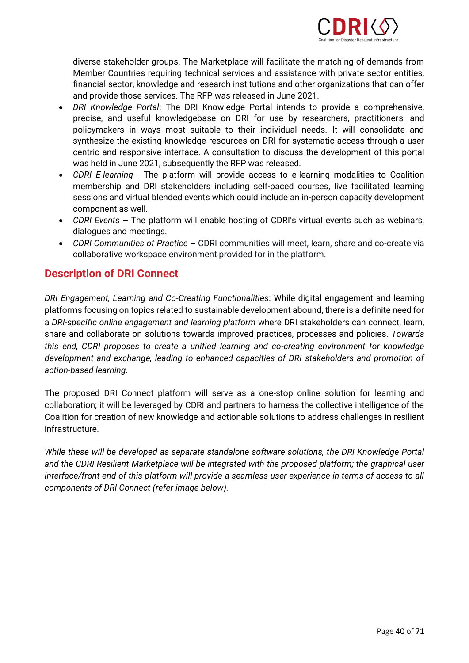

diverse stakeholder groups. The Marketplace will facilitate the matching of demands from Member Countries requiring technical services and assistance with private sector entities, financial sector, knowledge and research institutions and other organizations that can offer and provide those services. The RFP was released in June 2021.

- *DRI Knowledge Portal*: The DRI Knowledge Portal intends to provide a comprehensive, precise, and useful knowledgebase on DRI for use by researchers, practitioners, and policymakers in ways most suitable to their individual needs. It will consolidate and synthesize the existing knowledge resources on DRI for systematic access through a user centric and responsive interface. A consultation to discuss the development of this portal was held in June 2021, subsequently the RFP was released.
- *CDRI E-learning*  The platform will provide access to e-learning modalities to Coalition membership and DRI stakeholders including self-paced courses, live facilitated learning sessions and virtual blended events which could include an in-person capacity development component as well.
- *CDRI Events* **–** The platform will enable hosting of CDRI's virtual events such as webinars, dialogues and meetings.
- *CDRI Communities of Practice* **–** CDRI communities will meet, learn, share and co-create via collaborative workspace environment provided for in the platform.

## **Description of DRI Connect**

*DRI Engagement, Learning and Co-Creating Functionalities*: While digital engagement and learning platforms focusing on topics related to sustainable development abound, there is a definite need for a *DRI-specific online engagement and learning platform* where DRI stakeholders can connect, learn, share and collaborate on solutions towards improved practices, processes and policies. *Towards this end, CDRI proposes to create a unified learning and co-creating environment for knowledge development and exchange, leading to enhanced capacities of DRI stakeholders and promotion of action-based learning.*

The proposed DRI Connect platform will serve as a one-stop online solution for learning and collaboration; it will be leveraged by CDRI and partners to harness the collective intelligence of the Coalition for creation of new knowledge and actionable solutions to address challenges in resilient infrastructure.

*While these will be developed as separate standalone software solutions, the DRI Knowledge Portal and the CDRI Resilient Marketplace will be integrated with the proposed platform; the graphical user interface/front-end of this platform will provide a seamless user experience in terms of access to all components of DRI Connect (refer image below).*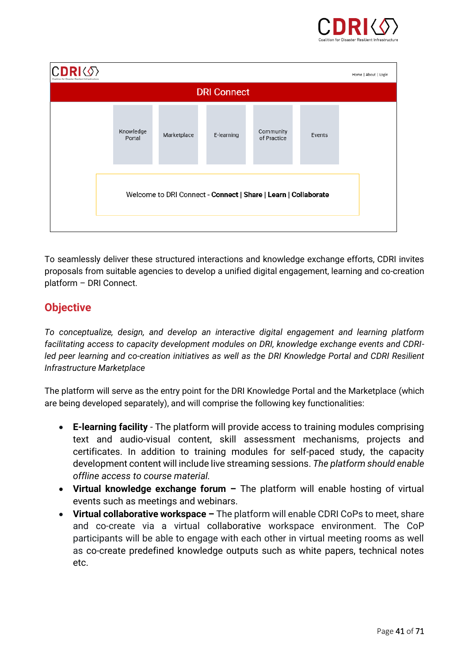

| Home   About   Login<br>Coalition for Disaster Resilient Infrastructury |                     |             |            |                          |        |  |
|-------------------------------------------------------------------------|---------------------|-------------|------------|--------------------------|--------|--|
| <b>DRI Connect</b>                                                      |                     |             |            |                          |        |  |
|                                                                         | Knowledge<br>Portal | Marketplace | E-learning | Community<br>of Practice | Events |  |
| Welcome to DRI Connect - Connect   Share   Learn   Collaborate          |                     |             |            |                          |        |  |

To seamlessly deliver these structured interactions and knowledge exchange efforts, CDRI invites proposals from suitable agencies to develop a unified digital engagement, learning and co-creation platform – DRI Connect.

## **Objective**

*To conceptualize, design, and develop an interactive digital engagement and learning platform facilitating access to capacity development modules on DRI, knowledge exchange events and CDRIled peer learning and co-creation initiatives as well as the DRI Knowledge Portal and CDRI Resilient Infrastructure Marketplace*

The platform will serve as the entry point for the DRI Knowledge Portal and the Marketplace (which are being developed separately), and will comprise the following key functionalities:

- **E-learning facility** The platform will provide access to training modules comprising text and audio-visual content, skill assessment mechanisms, projects and certificates. In addition to training modules for self-paced study, the capacity development content will include live streaming sessions. *The platform should enable offline access to course material.*
- **Virtual knowledge exchange forum –** The platform will enable hosting of virtual events such as meetings and webinars.
- **Virtual collaborative workspace –** The platform will enable CDRI CoPs to meet, share and co-create via a virtual collaborative workspace environment. The CoP participants will be able to engage with each other in virtual meeting rooms as well as co-create predefined knowledge outputs such as white papers, technical notes etc.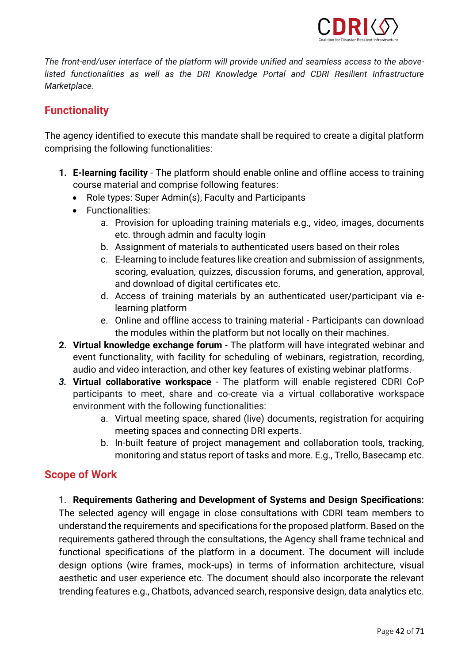

*The front-end/user interface of the platform will provide unified and seamless access to the abovelisted functionalities as well as the DRI Knowledge Portal and CDRI Resilient Infrastructure Marketplace.* 

## **Functionality**

The agency identified to execute this mandate shall be required to create a digital platform comprising the following functionalities:

- **1. E-learning facility** The platform should enable online and offline access to training course material and comprise following features:
	- Role types: Super Admin(s), Faculty and Participants
	- Functionalities:
		- a. Provision for uploading training materials e.g., video, images, documents etc. through admin and faculty login
		- b. Assignment of materials to authenticated users based on their roles
		- c. E-learning to include features like creation and submission of assignments, scoring, evaluation, quizzes, discussion forums, and generation, approval, and download of digital certificates etc.
		- d. Access of training materials by an authenticated user/participant via elearning platform
		- e. Online and offline access to training material Participants can download the modules within the platform but not locally on their machines.
- **2. Virtual knowledge exchange forum**  The platform will have integrated webinar and event functionality, with facility for scheduling of webinars, registration, recording, audio and video interaction, and other key features of existing webinar platforms.
- *3.* **Virtual collaborative workspace**  The platform will enable registered CDRI CoP participants to meet, share and co-create via a virtual collaborative workspace environment with the following functionalities:
	- a. Virtual meeting space, shared (live) documents, registration for acquiring meeting spaces and connecting DRI experts.
	- b. In-built feature of project management and collaboration tools, tracking, monitoring and status report of tasks and more. E.g., Trello, Basecamp etc.

## **Scope of Work**

### 1. **Requirements Gathering and Development of Systems and Design Specifications:**

The selected agency will engage in close consultations with CDRI team members to understand the requirements and specifications for the proposed platform. Based on the requirements gathered through the consultations, the Agency shall frame technical and functional specifications of the platform in a document. The document will include design options (wire frames, mock-ups) in terms of information architecture, visual aesthetic and user experience etc. The document should also incorporate the relevant trending features e.g., Chatbots, advanced search, responsive design, data analytics etc.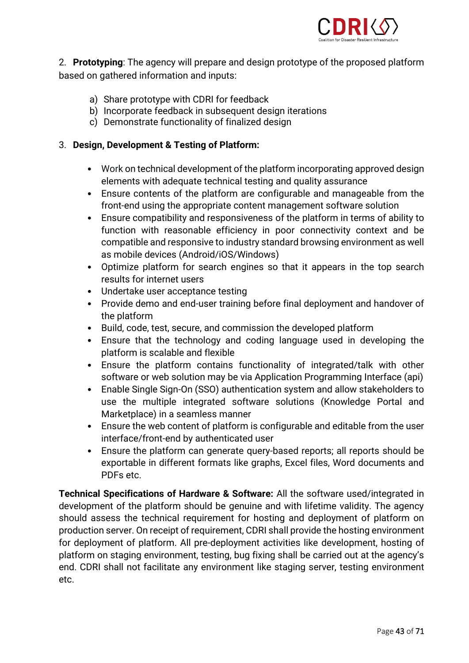

2. **Prototyping**: The agency will prepare and design prototype of the proposed platform based on gathered information and inputs:

- a) Share prototype with CDRI for feedback
- b) Incorporate feedback in subsequent design iterations
- c) Demonstrate functionality of finalized design

### 3. **Design, Development & Testing of Platform:**

- Work on technical development of the platform incorporating approved design elements with adequate technical testing and quality assurance
- Ensure contents of the platform are configurable and manageable from the front-end using the appropriate content management software solution
- Ensure compatibility and responsiveness of the platform in terms of ability to function with reasonable efficiency in poor connectivity context and be compatible and responsive to industry standard browsing environment as well as mobile devices (Android/iOS/Windows)
- Optimize platform for search engines so that it appears in the top search results for internet users
- Undertake user acceptance testing
- Provide demo and end-user training before final deployment and handover of the platform
- Build, code, test, secure, and commission the developed platform
- Ensure that the technology and coding language used in developing the platform is scalable and flexible
- Ensure the platform contains functionality of integrated/talk with other software or web solution may be via Application Programming Interface (api)
- Enable Single Sign-On (SSO) authentication system and allow stakeholders to use the multiple integrated software solutions (Knowledge Portal and Marketplace) in a seamless manner
- Ensure the web content of platform is configurable and editable from the user interface/front-end by authenticated user
- Ensure the platform can generate query-based reports; all reports should be exportable in different formats like graphs, Excel files, Word documents and PDFs etc.

**Technical Specifications of Hardware & Software:** All the software used/integrated in development of the platform should be genuine and with lifetime validity. The agency should assess the technical requirement for hosting and deployment of platform on production server. On receipt of requirement, CDRI shall provide the hosting environment for deployment of platform. All pre-deployment activities like development, hosting of platform on staging environment, testing, bug fixing shall be carried out at the agency's end. CDRI shall not facilitate any environment like staging server, testing environment etc.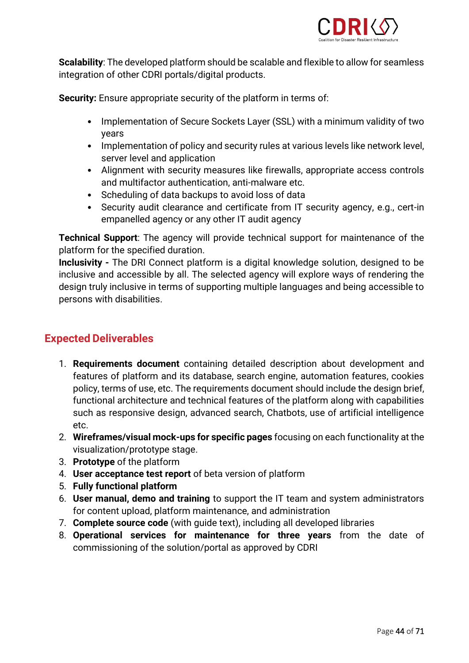

**Scalability**: The developed platform should be scalable and flexible to allow for seamless integration of other CDRI portals/digital products.

**Security:** Ensure appropriate security of the platform in terms of:

- Implementation of Secure Sockets Layer (SSL) with a minimum validity of two years
- Implementation of policy and security rules at various levels like network level, server level and application
- Alignment with security measures like firewalls, appropriate access controls and multifactor authentication, anti-malware etc.
- Scheduling of data backups to avoid loss of data
- Security audit clearance and certificate from IT security agency, e.g., cert-in empanelled agency or any other IT audit agency

**Technical Support**: The agency will provide technical support for maintenance of the platform for the specified duration.

**Inclusivity -** The DRI Connect platform is a digital knowledge solution, designed to be inclusive and accessible by all. The selected agency will explore ways of rendering the design truly inclusive in terms of supporting multiple languages and being accessible to persons with disabilities.

## **Expected Deliverables**

- 1. **Requirements document** containing detailed description about development and features of platform and its database, search engine, automation features, cookies policy, terms of use, etc. The requirements document should include the design brief, functional architecture and technical features of the platform along with capabilities such as responsive design, advanced search, Chatbots, use of artificial intelligence etc.
- 2. **Wireframes/visual mock-ups for specific pages** focusing on each functionality at the visualization/prototype stage.
- 3. **Prototype** of the platform
- 4. **User acceptance test report** of beta version of platform
- 5. **Fully functional platform**
- 6. **User manual, demo and training** to support the IT team and system administrators for content upload, platform maintenance, and administration
- 7. **Complete source code** (with guide text), including all developed libraries
- 8. **Operational services for maintenance for three years** from the date of commissioning of the solution/portal as approved by CDRI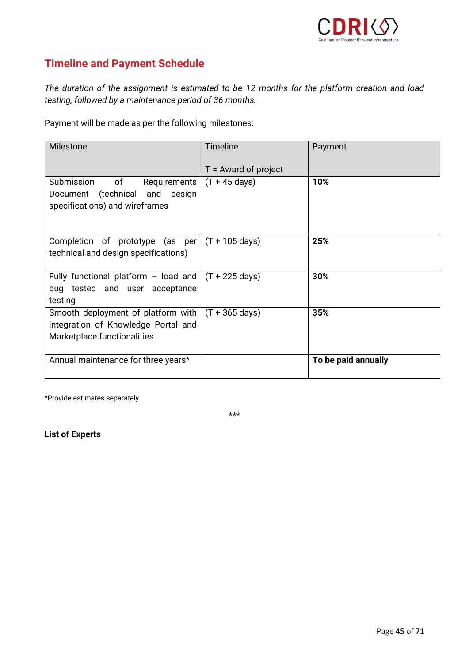

## **Timeline and Payment Schedule**

*The duration of the assignment is estimated to be 12 months for the platform creation and load testing, followed by a maintenance period of 36 months.*

Payment will be made as per the following milestones:

| <b>Milestone</b>                                                                                                | <b>Timeline</b>          | Payment             |
|-----------------------------------------------------------------------------------------------------------------|--------------------------|---------------------|
|                                                                                                                 | $T =$ Award of project   |                     |
| of<br>Submission<br>Requirements<br>Document (technical and design<br>specifications) and wireframes            | $(T + 45 \text{ days})$  | 10%                 |
| Completion of prototype (as per<br>technical and design specifications)                                         | $(T + 105 \text{ days})$ | 25%                 |
| Fully functional platform - load and $\int (T + 225 \text{ days})$<br>bug tested and user acceptance<br>testing |                          | 30%                 |
| Smooth deployment of platform with<br>integration of Knowledge Portal and<br>Marketplace functionalities        | $(T + 365 \text{ days})$ | 35%                 |
| Annual maintenance for three years*                                                                             |                          | To be paid annually |

\*Provide estimates separately

\*\*\*

**List of Experts**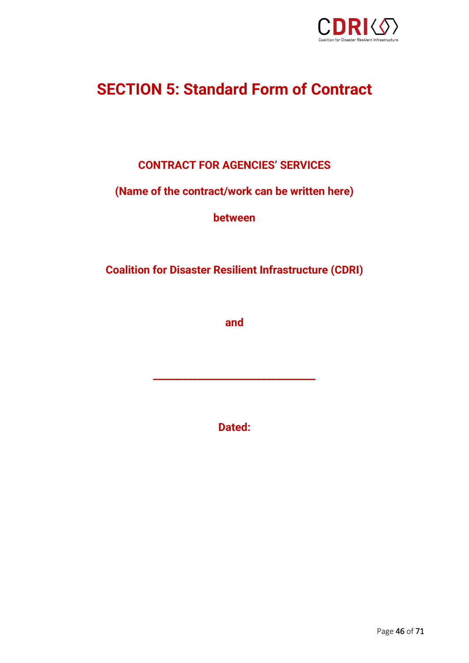

# <span id="page-45-0"></span>**SECTION 5: Standard Form of Contract**

## **CONTRACT FOR AGENCIES' SERVICES**

## **(Name of the contract/work can be written here)**

**between**

**Coalition for Disaster Resilient Infrastructure (CDRI)**

**and**

**Dated:**

**\_\_\_\_\_\_\_\_\_\_\_\_\_\_\_\_\_\_\_\_\_\_\_\_\_\_\_\_\_\_\_\_\_**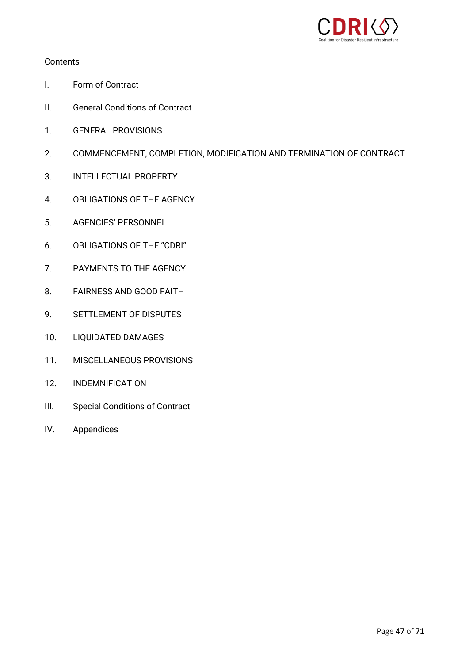

#### **Contents**

- I. Form of Contract
- II. General Conditions of Contract
- 1. GENERAL PROVISIONS
- 2. COMMENCEMENT, COMPLETION, MODIFICATION AND TERMINATION OF CONTRACT
- 3. INTELLECTUAL PROPERTY
- 4. OBLIGATIONS OF THE AGENCY
- 5. AGENCIES' PERSONNEL
- 6. OBLIGATIONS OF THE "CDRI"
- 7. PAYMENTS TO THE AGENCY
- 8. FAIRNESS AND GOOD FAITH
- 9. SETTLEMENT OF DISPUTES
- 10. LIQUIDATED DAMAGES
- 11. MISCELLANEOUS PROVISIONS
- 12. INDEMNIFICATION
- III. Special Conditions of Contract
- IV. Appendices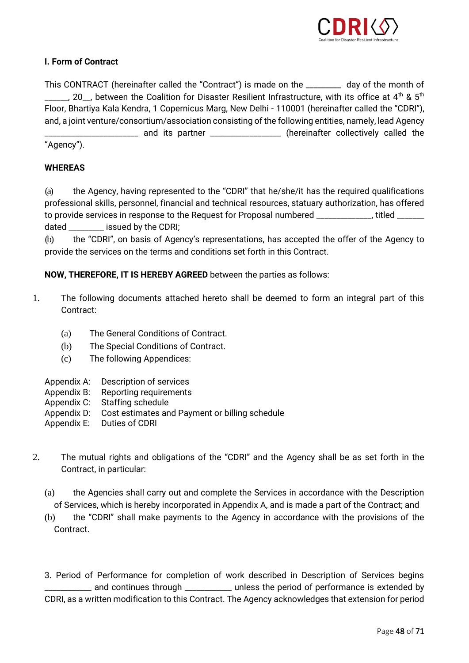

#### **I. Form of Contract**

This CONTRACT (hereinafter called the "Contract") is made on the \_\_\_\_\_\_\_\_\_ day of the month of  $\sim$  20, between the Coalition for Disaster Resilient Infrastructure, with its office at 4<sup>th</sup> & 5<sup>th</sup> Floor, Bhartiya Kala Kendra, 1 Copernicus Marg, New Delhi - 110001 (hereinafter called the "CDRI"), and, a joint venture/consortium/association consisting of the following entities, namely, lead Agency \_ and its partner \_\_\_\_\_\_\_\_\_\_\_\_\_\_\_\_\_ (hereinafter collectively called the "Agency").

#### **WHEREAS**

(a) the Agency, having represented to the "CDRI" that he/she/it has the required qualifications professional skills, personnel, financial and technical resources, statuary authorization, has offered to provide services in response to the Request for Proposal numbered \_\_\_\_\_\_\_\_\_\_\_, titled \_\_\_\_\_\_ dated \_\_\_\_\_\_\_\_\_ issued by the CDRI;

(b) the "CDRI", on basis of Agency's representations, has accepted the offer of the Agency to provide the services on the terms and conditions set forth in this Contract.

#### **NOW, THEREFORE, IT IS HEREBY AGREED** between the parties as follows:

- 1. The following documents attached hereto shall be deemed to form an integral part of this Contract:
	- (a) The General Conditions of Contract.
	- (b) The Special Conditions of Contract.
	- (c) The following Appendices:
	- Appendix A: Description of services
	- Appendix B: Reporting requirements
	- Appendix C: Staffing schedule
	- Appendix D: Cost estimates and Payment or billing schedule
	- Appendix E: Duties of CDRI
- 2. The mutual rights and obligations of the "CDRI" and the Agency shall be as set forth in the Contract, in particular:
	- (a) the Agencies shall carry out and complete the Services in accordance with the Description of Services, which is hereby incorporated in Appendix A, and is made a part of the Contract; and
	- (b) the "CDRI" shall make payments to the Agency in accordance with the provisions of the Contract.

3. Period of Performance for completion of work described in Description of Services begins \_\_\_\_\_\_\_\_\_\_\_\_ and continues through \_\_\_\_\_\_\_\_\_\_\_\_ unless the period of performance is extended by CDRI, as a written modification to this Contract. The Agency acknowledges that extension for period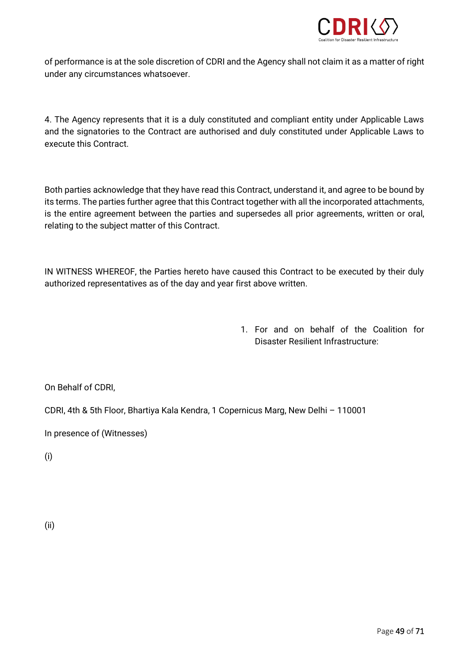

of performance is at the sole discretion of CDRI and the Agency shall not claim it as a matter of right under any circumstances whatsoever.

4. The Agency represents that it is a duly constituted and compliant entity under Applicable Laws and the signatories to the Contract are authorised and duly constituted under Applicable Laws to execute this Contract.

Both parties acknowledge that they have read this Contract, understand it, and agree to be bound by its terms. The parties further agree that this Contract together with all the incorporated attachments, is the entire agreement between the parties and supersedes all prior agreements, written or oral, relating to the subject matter of this Contract.

IN WITNESS WHEREOF, the Parties hereto have caused this Contract to be executed by their duly authorized representatives as of the day and year first above written.

> 1. For and on behalf of the Coalition for Disaster Resilient Infrastructure:

On Behalf of CDRI,

CDRI, 4th & 5th Floor, Bhartiya Kala Kendra, 1 Copernicus Marg, New Delhi – 110001

In presence of (Witnesses)

(i)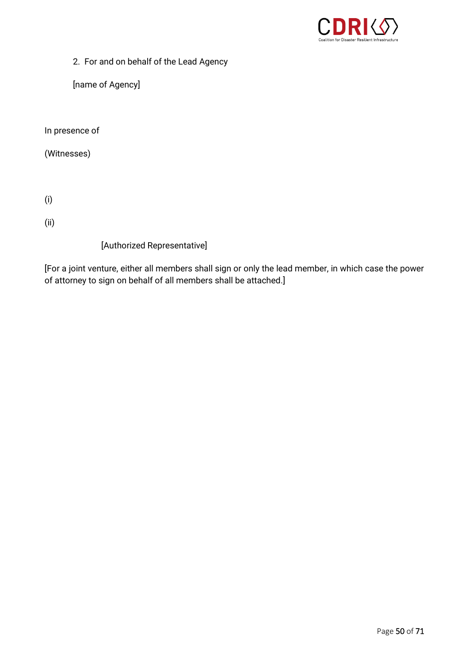

2. For and on behalf of the Lead Agency

[name of Agency]

In presence of

(Witnesses)

(i)

(ii)

[Authorized Representative]

[For a joint venture, either all members shall sign or only the lead member, in which case the power of attorney to sign on behalf of all members shall be attached.]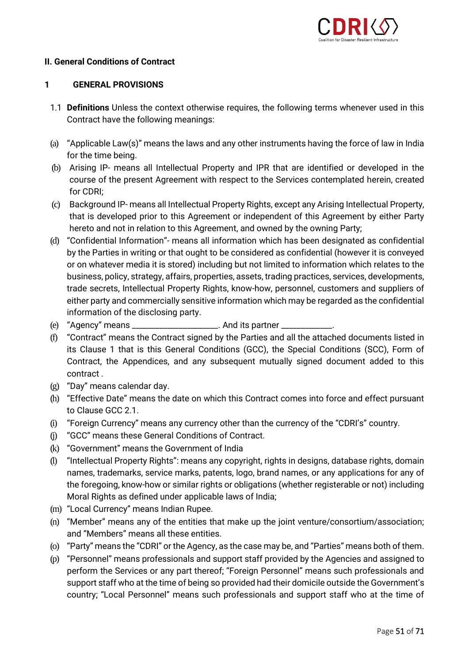

#### **II. General Conditions of Contract**

#### **1 GENERAL PROVISIONS**

- 1.1 **Definitions** Unless the context otherwise requires, the following terms whenever used in this Contract have the following meanings:
- (a) "Applicable Law(s)" means the laws and any other instruments having the force of law in India for the time being.
- (b) Arising IP- means all Intellectual Property and IPR that are identified or developed in the course of the present Agreement with respect to the Services contemplated herein, created for CDRI;
- (c) Background IP- means all Intellectual Property Rights, except any Arising Intellectual Property, that is developed prior to this Agreement or independent of this Agreement by either Party hereto and not in relation to this Agreement, and owned by the owning Party;
- (d) "Confidential Information"- means all information which has been designated as confidential by the Parties in writing or that ought to be considered as confidential (however it is conveyed or on whatever media it is stored) including but not limited to information which relates to the business, policy, strategy, affairs, properties, assets, trading practices, services, developments, trade secrets, Intellectual Property Rights, know-how, personnel, customers and suppliers of either party and commercially sensitive information which may be regarded as the confidential information of the disclosing party.
- (e) "Agency" means \_\_\_\_\_\_\_\_\_\_\_\_\_\_\_\_\_\_\_\_\_\_. And its partner \_\_\_\_\_\_\_
- (f) "Contract" means the Contract signed by the Parties and all the attached documents listed in its Clause 1 that is this General Conditions (GCC), the Special Conditions (SCC), Form of Contract, the Appendices, and any subsequent mutually signed document added to this contract .
- (g) "Day" means calendar day.
- (h) "Effective Date" means the date on which this Contract comes into force and effect pursuant to Clause GCC 2.1.
- (i) "Foreign Currency" means any currency other than the currency of the "CDRI's" country.
- (j) "GCC" means these General Conditions of Contract.
- (k) "Government" means the Government of India
- (l) "Intellectual Property Rights": means any copyright, rights in designs, database rights, domain names, trademarks, service marks, patents, logo, brand names, or any applications for any of the foregoing, know-how or similar rights or obligations (whether registerable or not) including Moral Rights as defined under applicable laws of India;
- (m) "Local Currency" means Indian Rupee.
- (n) "Member" means any of the entities that make up the joint venture/consortium/association; and "Members" means all these entities.
- (o) "Party" means the "CDRI" or the Agency, as the case may be, and "Parties" means both of them.
- (p) "Personnel" means professionals and support staff provided by the Agencies and assigned to perform the Services or any part thereof; "Foreign Personnel" means such professionals and support staff who at the time of being so provided had their domicile outside the Government's country; "Local Personnel" means such professionals and support staff who at the time of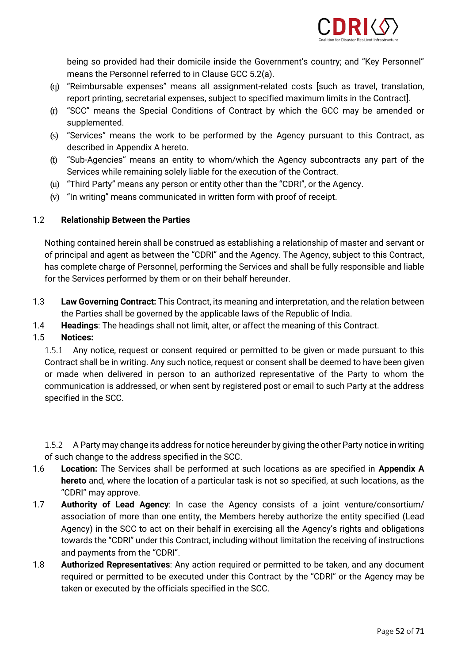

being so provided had their domicile inside the Government's country; and "Key Personnel" means the Personnel referred to in Clause GCC 5.2(a).

- (q) "Reimbursable expenses" means all assignment-related costs [such as travel, translation, report printing, secretarial expenses, subject to specified maximum limits in the Contract].
- (r) "SCC" means the Special Conditions of Contract by which the GCC may be amended or supplemented.
- (s) "Services" means the work to be performed by the Agency pursuant to this Contract, as described in Appendix A hereto.
- (t) "Sub-Agencies" means an entity to whom/which the Agency subcontracts any part of the Services while remaining solely liable for the execution of the Contract.
- (u) "Third Party" means any person or entity other than the "CDRI", or the Agency.
- (v) "In writing" means communicated in written form with proof of receipt.

### 1.2 **Relationship Between the Parties**

Nothing contained herein shall be construed as establishing a relationship of master and servant or of principal and agent as between the "CDRI" and the Agency. The Agency, subject to this Contract, has complete charge of Personnel, performing the Services and shall be fully responsible and liable for the Services performed by them or on their behalf hereunder.

- 1.3 **Law Governing Contract:** This Contract, its meaning and interpretation, and the relation between the Parties shall be governed by the applicable laws of the Republic of India.
- 1.4 **Headings**: The headings shall not limit, alter, or affect the meaning of this Contract.

### 1.5 **Notices:**

1.5.1 Any notice, request or consent required or permitted to be given or made pursuant to this Contract shall be in writing. Any such notice, request or consent shall be deemed to have been given or made when delivered in person to an authorized representative of the Party to whom the communication is addressed, or when sent by registered post or email to such Party at the address specified in the SCC.

1.5.2 A Party may change its address for notice hereunder by giving the other Party notice in writing of such change to the address specified in the SCC.

- 1.6 **Location:** The Services shall be performed at such locations as are specified in **Appendix A hereto** and, where the location of a particular task is not so specified, at such locations, as the "CDRI" may approve.
- 1.7 **Authority of Lead Agency**: In case the Agency consists of a joint venture/consortium/ association of more than one entity, the Members hereby authorize the entity specified (Lead Agency) in the SCC to act on their behalf in exercising all the Agency's rights and obligations towards the "CDRI" under this Contract, including without limitation the receiving of instructions and payments from the "CDRI".
- 1.8 **Authorized Representatives**: Any action required or permitted to be taken, and any document required or permitted to be executed under this Contract by the "CDRI" or the Agency may be taken or executed by the officials specified in the SCC.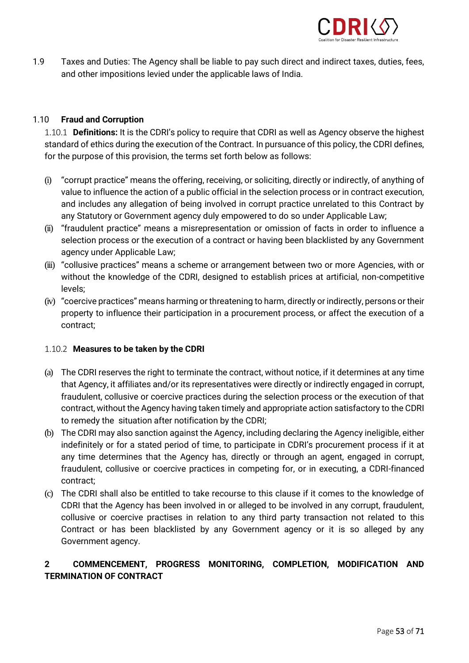

1.9 Taxes and Duties: The Agency shall be liable to pay such direct and indirect taxes, duties, fees, and other impositions levied under the applicable laws of India.

#### 1.10 **Fraud and Corruption**

1.10.1 **Definitions:** It is the CDRI's policy to require that CDRI as well as Agency observe the highest standard of ethics during the execution of the Contract. In pursuance of this policy, the CDRI defines, for the purpose of this provision, the terms set forth below as follows:

- (i) "corrupt practice" means the offering, receiving, or soliciting, directly or indirectly, of anything of value to influence the action of a public official in the selection process or in contract execution, and includes any allegation of being involved in corrupt practice unrelated to this Contract by any Statutory or Government agency duly empowered to do so under Applicable Law;
- (ii) "fraudulent practice" means a misrepresentation or omission of facts in order to influence a selection process or the execution of a contract or having been blacklisted by any Government agency under Applicable Law;
- (iii) "collusive practices" means a scheme or arrangement between two or more Agencies, with or without the knowledge of the CDRI, designed to establish prices at artificial, non-competitive levels;
- (iv) "coercive practices" means harming or threatening to harm, directly or indirectly, persons or their property to influence their participation in a procurement process, or affect the execution of a contract;

#### 1.10.2 **Measures to be taken by the CDRI**

- (a) The CDRI reserves the right to terminate the contract, without notice, if it determines at any time that Agency, it affiliates and/or its representatives were directly or indirectly engaged in corrupt, fraudulent, collusive or coercive practices during the selection process or the execution of that contract, without the Agency having taken timely and appropriate action satisfactory to the CDRI to remedy the situation after notification by the CDRI;
- (b) The CDRI may also sanction against the Agency, including declaring the Agency ineligible, either indefinitely or for a stated period of time, to participate in CDRI's procurement process if it at any time determines that the Agency has, directly or through an agent, engaged in corrupt, fraudulent, collusive or coercive practices in competing for, or in executing, a CDRI-financed contract;
- (c) The CDRI shall also be entitled to take recourse to this clause if it comes to the knowledge of CDRI that the Agency has been involved in or alleged to be involved in any corrupt, fraudulent, collusive or coercive practises in relation to any third party transaction not related to this Contract or has been blacklisted by any Government agency or it is so alleged by any Government agency.

#### **2 COMMENCEMENT, PROGRESS MONITORING, COMPLETION, MODIFICATION AND TERMINATION OF CONTRACT**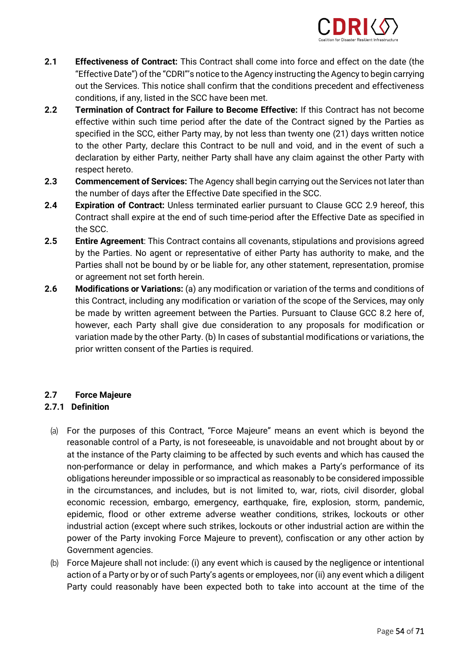

- **2.1 Effectiveness of Contract:** This Contract shall come into force and effect on the date (the "Effective Date") of the "CDRI"'s notice to the Agency instructing the Agency to begin carrying out the Services. This notice shall confirm that the conditions precedent and effectiveness conditions, if any, listed in the SCC have been met.
- **2.2 Termination of Contract for Failure to Become Effective:** If this Contract has not become effective within such time period after the date of the Contract signed by the Parties as specified in the SCC, either Party may, by not less than twenty one (21) days written notice to the other Party, declare this Contract to be null and void, and in the event of such a declaration by either Party, neither Party shall have any claim against the other Party with respect hereto.
- **2.3 Commencement of Services:** The Agency shall begin carrying out the Services not later than the number of days after the Effective Date specified in the SCC.
- **2.4 Expiration of Contract:** Unless terminated earlier pursuant to Clause GCC 2.9 hereof, this Contract shall expire at the end of such time-period after the Effective Date as specified in the SCC.
- **2.5 Entire Agreement**: This Contract contains all covenants, stipulations and provisions agreed by the Parties. No agent or representative of either Party has authority to make, and the Parties shall not be bound by or be liable for, any other statement, representation, promise or agreement not set forth herein.
- **2.6 Modifications or Variations:** (a) any modification or variation of the terms and conditions of this Contract, including any modification or variation of the scope of the Services, may only be made by written agreement between the Parties. Pursuant to Clause GCC 8.2 here of, however, each Party shall give due consideration to any proposals for modification or variation made by the other Party. (b) In cases of substantial modifications or variations, the prior written consent of the Parties is required.

#### **2.7 Force Majeure**

#### **2.7.1 Definition**

- (a) For the purposes of this Contract, "Force Majeure" means an event which is beyond the reasonable control of a Party, is not foreseeable, is unavoidable and not brought about by or at the instance of the Party claiming to be affected by such events and which has caused the non-performance or delay in performance, and which makes a Party's performance of its obligations hereunder impossible or so impractical as reasonably to be considered impossible in the circumstances, and includes, but is not limited to, war, riots, civil disorder, global economic recession, embargo, emergency, earthquake, fire, explosion, storm, pandemic, epidemic, flood or other extreme adverse weather conditions, strikes, lockouts or other industrial action (except where such strikes, lockouts or other industrial action are within the power of the Party invoking Force Majeure to prevent), confiscation or any other action by Government agencies.
- (b) Force Majeure shall not include: (i) any event which is caused by the negligence or intentional action of a Party or by or of such Party's agents or employees, nor (ii) any event which a diligent Party could reasonably have been expected both to take into account at the time of the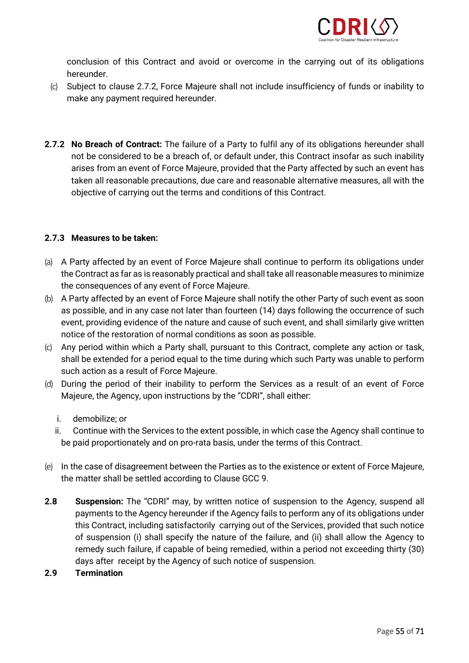

conclusion of this Contract and avoid or overcome in the carrying out of its obligations hereunder.

- (c) Subject to clause 2.7.2, Force Majeure shall not include insufficiency of funds or inability to make any payment required hereunder.
- **2.7.2 No Breach of Contract:** The failure of a Party to fulfil any of its obligations hereunder shall not be considered to be a breach of, or default under, this Contract insofar as such inability arises from an event of Force Majeure, provided that the Party affected by such an event has taken all reasonable precautions, due care and reasonable alternative measures, all with the objective of carrying out the terms and conditions of this Contract.

#### **2.7.3 Measures to be taken:**

- (a) A Party affected by an event of Force Majeure shall continue to perform its obligations under the Contract as far as is reasonably practical and shall take all reasonable measures to minimize the consequences of any event of Force Majeure.
- (b) A Party affected by an event of Force Majeure shall notify the other Party of such event as soon as possible, and in any case not later than fourteen (14) days following the occurrence of such event, providing evidence of the nature and cause of such event, and shall similarly give written notice of the restoration of normal conditions as soon as possible.
- (c) Any period within which a Party shall, pursuant to this Contract, complete any action or task, shall be extended for a period equal to the time during which such Party was unable to perform such action as a result of Force Majeure.
- (d) During the period of their inability to perform the Services as a result of an event of Force Majeure, the Agency, upon instructions by the "CDRI", shall either:
	- i. demobilize; or
	- ii. Continue with the Services to the extent possible, in which case the Agency shall continue to be paid proportionately and on pro-rata basis, under the terms of this Contract.
- (e) In the case of disagreement between the Parties as to the existence or extent of Force Majeure, the matter shall be settled according to Clause GCC 9.
- **2.8 Suspension:** The "CDRI" may, by written notice of suspension to the Agency, suspend all payments to the Agency hereunder if the Agency fails to perform any of its obligations under this Contract, including satisfactorily carrying out of the Services, provided that such notice of suspension (i) shall specify the nature of the failure, and (ii) shall allow the Agency to remedy such failure, if capable of being remedied, within a period not exceeding thirty (30) days after receipt by the Agency of such notice of suspension.
- **2.9 Termination**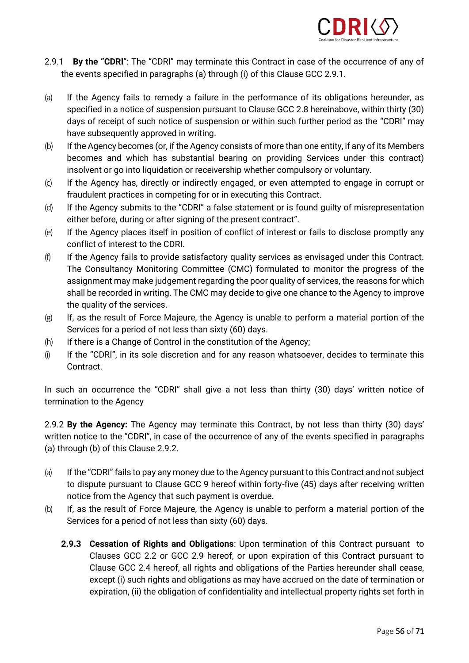

- 2.9.1 **By the "CDRI**": The "CDRI" may terminate this Contract in case of the occurrence of any of the events specified in paragraphs (a) through (i) of this Clause GCC 2.9.1.
- (a) If the Agency fails to remedy a failure in the performance of its obligations hereunder, as specified in a notice of suspension pursuant to Clause GCC 2.8 hereinabove, within thirty (30) days of receipt of such notice of suspension or within such further period as the "CDRI" may have subsequently approved in writing.
- (b) If the Agency becomes (or, if the Agency consists of more than one entity, if any of its Members becomes and which has substantial bearing on providing Services under this contract) insolvent or go into liquidation or receivership whether compulsory or voluntary.
- (c) If the Agency has, directly or indirectly engaged, or even attempted to engage in corrupt or fraudulent practices in competing for or in executing this Contract.
- (d) If the Agency submits to the "CDRI" a false statement or is found guilty of misrepresentation either before, during or after signing of the present contract".
- (e) If the Agency places itself in position of conflict of interest or fails to disclose promptly any conflict of interest to the CDRI.
- (f) If the Agency fails to provide satisfactory quality services as envisaged under this Contract. The Consultancy Monitoring Committee (CMC) formulated to monitor the progress of the assignment may make judgement regarding the poor quality of services, the reasons for which shall be recorded in writing. The CMC may decide to give one chance to the Agency to improve the quality of the services.
- (g) If, as the result of Force Majeure, the Agency is unable to perform a material portion of the Services for a period of not less than sixty (60) days.
- (h) If there is a Change of Control in the constitution of the Agency;
- (i) If the "CDRI", in its sole discretion and for any reason whatsoever, decides to terminate this Contract.

In such an occurrence the "CDRI" shall give a not less than thirty (30) days' written notice of termination to the Agency

2.9.2 **By the Agency:** The Agency may terminate this Contract, by not less than thirty (30) days' written notice to the "CDRI", in case of the occurrence of any of the events specified in paragraphs (a) through (b) of this Clause 2.9.2.

- (a) If the "CDRI" fails to pay any money due to the Agency pursuant to this Contract and not subject to dispute pursuant to Clause GCC 9 hereof within forty-five (45) days after receiving written notice from the Agency that such payment is overdue.
- (b) If, as the result of Force Majeure, the Agency is unable to perform a material portion of the Services for a period of not less than sixty (60) days.
	- **2.9.3 Cessation of Rights and Obligations**: Upon termination of this Contract pursuant to Clauses GCC 2.2 or GCC 2.9 hereof, or upon expiration of this Contract pursuant to Clause GCC 2.4 hereof, all rights and obligations of the Parties hereunder shall cease, except (i) such rights and obligations as may have accrued on the date of termination or expiration, (ii) the obligation of confidentiality and intellectual property rights set forth in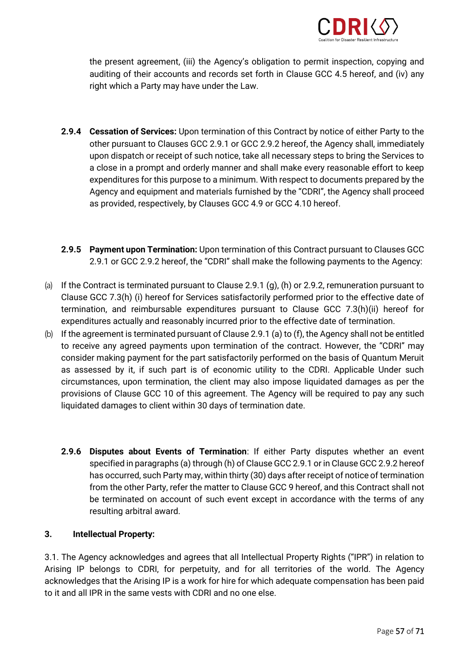

the present agreement, (iii) the Agency's obligation to permit inspection, copying and auditing of their accounts and records set forth in Clause GCC 4.5 hereof, and (iv) any right which a Party may have under the Law.

- **2.9.4 Cessation of Services:** Upon termination of this Contract by notice of either Party to the other pursuant to Clauses GCC 2.9.1 or GCC 2.9.2 hereof, the Agency shall, immediately upon dispatch or receipt of such notice, take all necessary steps to bring the Services to a close in a prompt and orderly manner and shall make every reasonable effort to keep expenditures for this purpose to a minimum. With respect to documents prepared by the Agency and equipment and materials furnished by the "CDRI", the Agency shall proceed as provided, respectively, by Clauses GCC 4.9 or GCC 4.10 hereof.
- **2.9.5 Payment upon Termination:** Upon termination of this Contract pursuant to Clauses GCC 2.9.1 or GCC 2.9.2 hereof, the "CDRI" shall make the following payments to the Agency:
- (a) If the Contract is terminated pursuant to Clause 2.9.1 (g), (h) or 2.9.2, remuneration pursuant to Clause GCC 7.3(h) (i) hereof for Services satisfactorily performed prior to the effective date of termination, and reimbursable expenditures pursuant to Clause GCC 7.3(h)(ii) hereof for expenditures actually and reasonably incurred prior to the effective date of termination.
- (b) If the agreement is terminated pursuant of Clause 2.9.1 (a) to (f), the Agency shall not be entitled to receive any agreed payments upon termination of the contract. However, the "CDRI" may consider making payment for the part satisfactorily performed on the basis of Quantum Meruit as assessed by it, if such part is of economic utility to the CDRI. Applicable Under such circumstances, upon termination, the client may also impose liquidated damages as per the provisions of Clause GCC 10 of this agreement. The Agency will be required to pay any such liquidated damages to client within 30 days of termination date.
	- **2.9.6 Disputes about Events of Termination**: If either Party disputes whether an event specified in paragraphs (a) through (h) of Clause GCC 2.9.1 or in Clause GCC 2.9.2 hereof has occurred, such Party may, within thirty (30) days after receipt of notice of termination from the other Party, refer the matter to Clause GCC 9 hereof, and this Contract shall not be terminated on account of such event except in accordance with the terms of any resulting arbitral award.

#### **3. Intellectual Property:**

3.1. The Agency acknowledges and agrees that all Intellectual Property Rights ("IPR") in relation to Arising IP belongs to CDRI, for perpetuity, and for all territories of the world. The Agency acknowledges that the Arising IP is a work for hire for which adequate compensation has been paid to it and all IPR in the same vests with CDRI and no one else.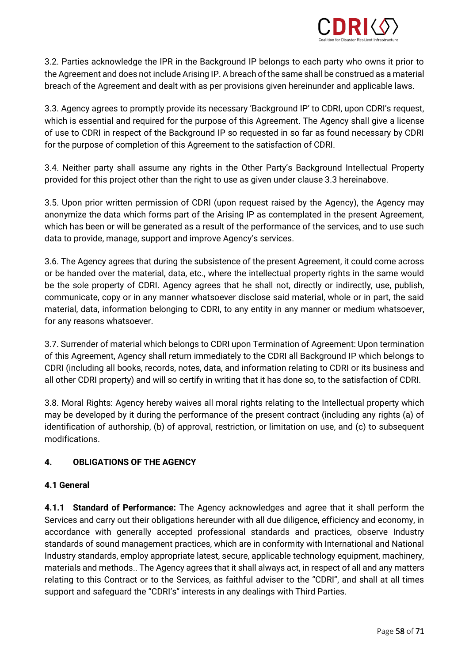

3.2. Parties acknowledge the IPR in the Background IP belongs to each party who owns it prior to the Agreement and does not include Arising IP. A breach of the same shall be construed as a material breach of the Agreement and dealt with as per provisions given hereinunder and applicable laws.

3.3. Agency agrees to promptly provide its necessary 'Background IP' to CDRI, upon CDRI's request, which is essential and required for the purpose of this Agreement. The Agency shall give a license of use to CDRI in respect of the Background IP so requested in so far as found necessary by CDRI for the purpose of completion of this Agreement to the satisfaction of CDRI.

3.4. Neither party shall assume any rights in the Other Party's Background Intellectual Property provided for this project other than the right to use as given under clause 3.3 hereinabove.

3.5. Upon prior written permission of CDRI (upon request raised by the Agency), the Agency may anonymize the data which forms part of the Arising IP as contemplated in the present Agreement, which has been or will be generated as a result of the performance of the services, and to use such data to provide, manage, support and improve Agency's services.

3.6. The Agency agrees that during the subsistence of the present Agreement, it could come across or be handed over the material, data, etc., where the intellectual property rights in the same would be the sole property of CDRI. Agency agrees that he shall not, directly or indirectly, use, publish, communicate, copy or in any manner whatsoever disclose said material, whole or in part, the said material, data, information belonging to CDRI, to any entity in any manner or medium whatsoever, for any reasons whatsoever.

3.7. Surrender of material which belongs to CDRI upon Termination of Agreement: Upon termination of this Agreement, Agency shall return immediately to the CDRI all Background IP which belongs to CDRI (including all books, records, notes, data, and information relating to CDRI or its business and all other CDRI property) and will so certify in writing that it has done so, to the satisfaction of CDRI.

3.8. Moral Rights: Agency hereby waives all moral rights relating to the Intellectual property which may be developed by it during the performance of the present contract (including any rights (a) of identification of authorship, (b) of approval, restriction, or limitation on use, and (c) to subsequent modifications.

### **4. OBLIGATIONS OF THE AGENCY**

#### **4.1 General**

**4.1.1 Standard of Performance:** The Agency acknowledges and agree that it shall perform the Services and carry out their obligations hereunder with all due diligence, efficiency and economy, in accordance with generally accepted professional standards and practices, observe Industry standards of sound management practices, which are in conformity with International and National Industry standards, employ appropriate latest, secure, applicable technology equipment, machinery, materials and methods.. The Agency agrees that it shall always act, in respect of all and any matters relating to this Contract or to the Services, as faithful adviser to the "CDRI", and shall at all times support and safeguard the "CDRI's" interests in any dealings with Third Parties.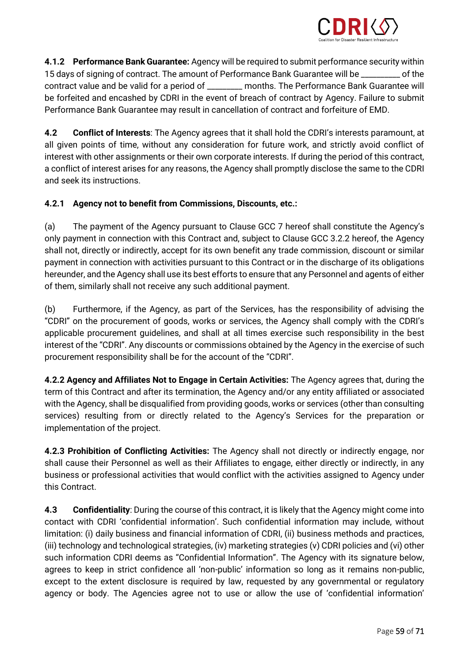

**4.1.2 Performance Bank Guarantee:** Agency will be required to submit performance security within 15 days of signing of contract. The amount of Performance Bank Guarantee will be \_\_\_\_\_\_\_\_\_\_ of the contract value and be valid for a period of \_\_\_\_\_\_\_\_\_ months. The Performance Bank Guarantee will be forfeited and encashed by CDRI in the event of breach of contract by Agency. Failure to submit Performance Bank Guarantee may result in cancellation of contract and forfeiture of EMD.

**4.2 Conflict of Interests**: The Agency agrees that it shall hold the CDRI's interests paramount, at all given points of time, without any consideration for future work, and strictly avoid conflict of interest with other assignments or their own corporate interests. If during the period of this contract, a conflict of interest arises for any reasons, the Agency shall promptly disclose the same to the CDRI and seek its instructions.

### **4.2.1 Agency not to benefit from Commissions, Discounts, etc.:**

(a) The payment of the Agency pursuant to Clause GCC 7 hereof shall constitute the Agency's only payment in connection with this Contract and, subject to Clause GCC 3.2.2 hereof, the Agency shall not, directly or indirectly, accept for its own benefit any trade commission, discount or similar payment in connection with activities pursuant to this Contract or in the discharge of its obligations hereunder, and the Agency shall use its best efforts to ensure that any Personnel and agents of either of them, similarly shall not receive any such additional payment.

(b) Furthermore, if the Agency, as part of the Services, has the responsibility of advising the "CDRI" on the procurement of goods, works or services, the Agency shall comply with the CDRI's applicable procurement guidelines, and shall at all times exercise such responsibility in the best interest of the "CDRI". Any discounts or commissions obtained by the Agency in the exercise of such procurement responsibility shall be for the account of the "CDRI".

**4.2.2 Agency and Affiliates Not to Engage in Certain Activities:** The Agency agrees that, during the term of this Contract and after its termination, the Agency and/or any entity affiliated or associated with the Agency, shall be disqualified from providing goods, works or services (other than consulting services) resulting from or directly related to the Agency's Services for the preparation or implementation of the project.

**4.2.3 Prohibition of Conflicting Activities:** The Agency shall not directly or indirectly engage, nor shall cause their Personnel as well as their Affiliates to engage, either directly or indirectly, in any business or professional activities that would conflict with the activities assigned to Agency under this Contract.

**4.3 Confidentiality**: During the course of this contract, it is likely that the Agency might come into contact with CDRI 'confidential information'. Such confidential information may include, without limitation: (i) daily business and financial information of CDRI, (ii) business methods and practices, (iii) technology and technological strategies, (iv) marketing strategies (v) CDRI policies and (vi) other such information CDRI deems as "Confidential Information". The Agency with its signature below, agrees to keep in strict confidence all 'non-public' information so long as it remains non-public, except to the extent disclosure is required by law, requested by any governmental or regulatory agency or body. The Agencies agree not to use or allow the use of 'confidential information'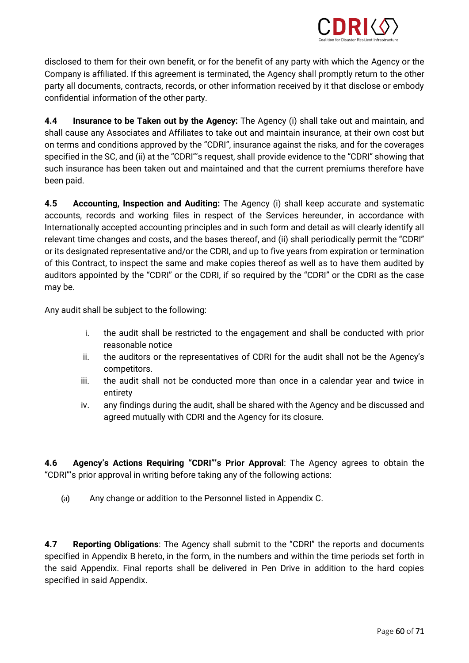

disclosed to them for their own benefit, or for the benefit of any party with which the Agency or the Company is affiliated. If this agreement is terminated, the Agency shall promptly return to the other party all documents, contracts, records, or other information received by it that disclose or embody confidential information of the other party.

**4.4 Insurance to be Taken out by the Agency:** The Agency (i) shall take out and maintain, and shall cause any Associates and Affiliates to take out and maintain insurance, at their own cost but on terms and conditions approved by the "CDRI", insurance against the risks, and for the coverages specified in the SC, and (ii) at the "CDRI"'s request, shall provide evidence to the "CDRI" showing that such insurance has been taken out and maintained and that the current premiums therefore have been paid.

**4.5 Accounting, Inspection and Auditing:** The Agency (i) shall keep accurate and systematic accounts, records and working files in respect of the Services hereunder, in accordance with Internationally accepted accounting principles and in such form and detail as will clearly identify all relevant time changes and costs, and the bases thereof, and (ii) shall periodically permit the "CDRI" or its designated representative and/or the CDRI, and up to five years from expiration or termination of this Contract, to inspect the same and make copies thereof as well as to have them audited by auditors appointed by the "CDRI" or the CDRI, if so required by the "CDRI" or the CDRI as the case may be.

Any audit shall be subject to the following:

- i. the audit shall be restricted to the engagement and shall be conducted with prior reasonable notice
- ii. the auditors or the representatives of CDRI for the audit shall not be the Agency's competitors.
- iii. the audit shall not be conducted more than once in a calendar year and twice in entirety
- iv. any findings during the audit, shall be shared with the Agency and be discussed and agreed mutually with CDRI and the Agency for its closure.

**4.6 Agency's Actions Requiring "CDRI"'s Prior Approval**: The Agency agrees to obtain the "CDRI"'s prior approval in writing before taking any of the following actions:

(a) Any change or addition to the Personnel listed in Appendix C.

**4.7 Reporting Obligations**: The Agency shall submit to the "CDRI" the reports and documents specified in Appendix B hereto, in the form, in the numbers and within the time periods set forth in the said Appendix. Final reports shall be delivered in Pen Drive in addition to the hard copies specified in said Appendix.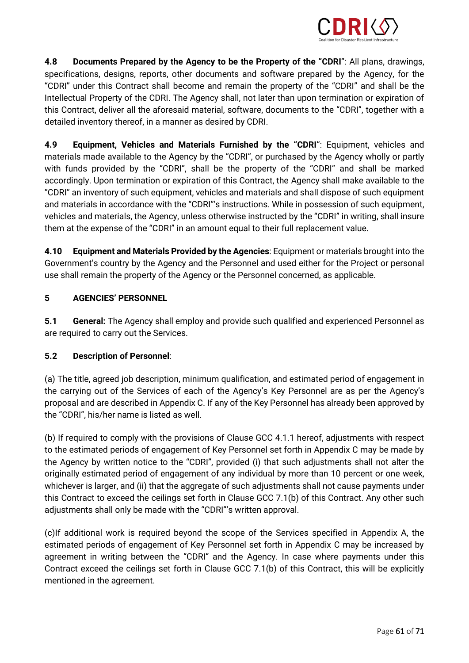

**4.8 Documents Prepared by the Agency to be the Property of the "CDRI**": All plans, drawings, specifications, designs, reports, other documents and software prepared by the Agency, for the "CDRI" under this Contract shall become and remain the property of the "CDRI" and shall be the Intellectual Property of the CDRI. The Agency shall, not later than upon termination or expiration of this Contract, deliver all the aforesaid material, software, documents to the "CDRI", together with a detailed inventory thereof, in a manner as desired by CDRI.

**4.9 Equipment, Vehicles and Materials Furnished by the "CDRI**": Equipment, vehicles and materials made available to the Agency by the "CDRI", or purchased by the Agency wholly or partly with funds provided by the "CDRI", shall be the property of the "CDRI" and shall be marked accordingly. Upon termination or expiration of this Contract, the Agency shall make available to the "CDRI" an inventory of such equipment, vehicles and materials and shall dispose of such equipment and materials in accordance with the "CDRI"'s instructions. While in possession of such equipment, vehicles and materials, the Agency, unless otherwise instructed by the "CDRI" in writing, shall insure them at the expense of the "CDRI" in an amount equal to their full replacement value.

**4.10 Equipment and Materials Provided by the Agencies**: Equipment or materials brought into the Government's country by the Agency and the Personnel and used either for the Project or personal use shall remain the property of the Agency or the Personnel concerned, as applicable.

### **5 AGENCIES' PERSONNEL**

**5.1 General:** The Agency shall employ and provide such qualified and experienced Personnel as are required to carry out the Services.

#### **5.2 Description of Personnel**:

(a) The title, agreed job description, minimum qualification, and estimated period of engagement in the carrying out of the Services of each of the Agency's Key Personnel are as per the Agency's proposal and are described in Appendix C. If any of the Key Personnel has already been approved by the "CDRI", his/her name is listed as well.

(b) If required to comply with the provisions of Clause GCC 4.1.1 hereof, adjustments with respect to the estimated periods of engagement of Key Personnel set forth in Appendix C may be made by the Agency by written notice to the "CDRI", provided (i) that such adjustments shall not alter the originally estimated period of engagement of any individual by more than 10 percent or one week, whichever is larger, and (ii) that the aggregate of such adjustments shall not cause payments under this Contract to exceed the ceilings set forth in Clause GCC 7.1(b) of this Contract. Any other such adjustments shall only be made with the "CDRI"'s written approval.

(c)If additional work is required beyond the scope of the Services specified in Appendix A, the estimated periods of engagement of Key Personnel set forth in Appendix C may be increased by agreement in writing between the "CDRI" and the Agency. In case where payments under this Contract exceed the ceilings set forth in Clause GCC 7.1(b) of this Contract, this will be explicitly mentioned in the agreement.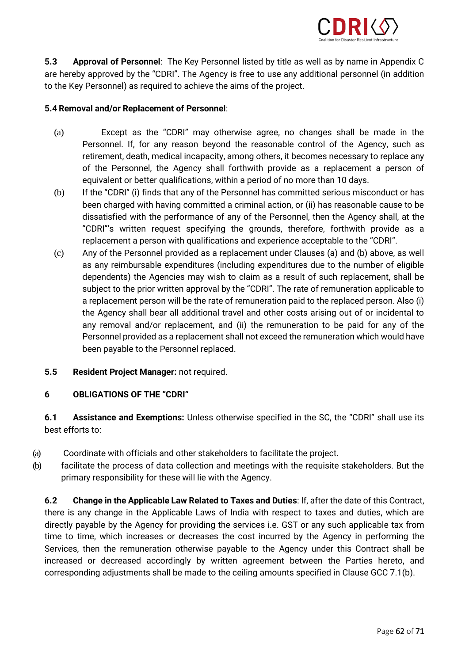

**5.3 Approval of Personnel**: The Key Personnel listed by title as well as by name in Appendix C are hereby approved by the "CDRI". The Agency is free to use any additional personnel (in addition to the Key Personnel) as required to achieve the aims of the project.

#### **5.4 Removal and/or Replacement of Personnel**:

- (a) Except as the "CDRI" may otherwise agree, no changes shall be made in the Personnel. If, for any reason beyond the reasonable control of the Agency, such as retirement, death, medical incapacity, among others, it becomes necessary to replace any of the Personnel, the Agency shall forthwith provide as a replacement a person of equivalent or better qualifications, within a period of no more than 10 days.
- (b) If the "CDRI" (i) finds that any of the Personnel has committed serious misconduct or has been charged with having committed a criminal action, or (ii) has reasonable cause to be dissatisfied with the performance of any of the Personnel, then the Agency shall, at the "CDRI"'s written request specifying the grounds, therefore, forthwith provide as a replacement a person with qualifications and experience acceptable to the "CDRI".
- (c) Any of the Personnel provided as a replacement under Clauses (a) and (b) above, as well as any reimbursable expenditures (including expenditures due to the number of eligible dependents) the Agencies may wish to claim as a result of such replacement, shall be subject to the prior written approval by the "CDRI". The rate of remuneration applicable to a replacement person will be the rate of remuneration paid to the replaced person. Also (i) the Agency shall bear all additional travel and other costs arising out of or incidental to any removal and/or replacement, and (ii) the remuneration to be paid for any of the Personnel provided as a replacement shall not exceed the remuneration which would have been payable to the Personnel replaced.
- **5.5 Resident Project Manager:** not required.

#### **6 OBLIGATIONS OF THE "CDRI"**

**6.1 Assistance and Exemptions:** Unless otherwise specified in the SC, the "CDRI" shall use its best efforts to:

- (a) Coordinate with officials and other stakeholders to facilitate the project.
- (b) facilitate the process of data collection and meetings with the requisite stakeholders. But the primary responsibility for these will lie with the Agency.

**6.2 Change in the Applicable Law Related to Taxes and Duties**: If, after the date of this Contract, there is any change in the Applicable Laws of India with respect to taxes and duties, which are directly payable by the Agency for providing the services i.e. GST or any such applicable tax from time to time, which increases or decreases the cost incurred by the Agency in performing the Services, then the remuneration otherwise payable to the Agency under this Contract shall be increased or decreased accordingly by written agreement between the Parties hereto, and corresponding adjustments shall be made to the ceiling amounts specified in Clause GCC 7.1(b).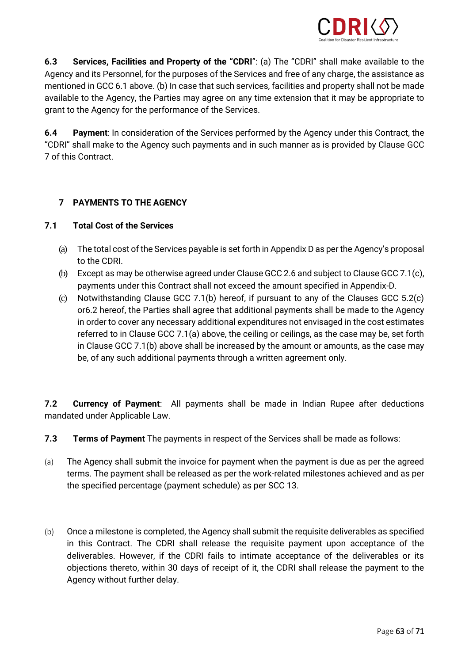

**6.3 Services, Facilities and Property of the "CDRI**": (a) The "CDRI" shall make available to the Agency and its Personnel, for the purposes of the Services and free of any charge, the assistance as mentioned in GCC 6.1 above. (b) In case that such services, facilities and property shall not be made available to the Agency, the Parties may agree on any time extension that it may be appropriate to grant to the Agency for the performance of the Services.

**6.4 Payment**: In consideration of the Services performed by the Agency under this Contract, the "CDRI" shall make to the Agency such payments and in such manner as is provided by Clause GCC 7 of this Contract.

### **7 PAYMENTS TO THE AGENCY**

### **7.1 Total Cost of the Services**

- (a) The total cost of the Services payable is set forth in Appendix D as per the Agency's proposal to the CDRI.
- (b) Except as may be otherwise agreed under Clause GCC 2.6 and subject to Clause GCC 7.1(c), payments under this Contract shall not exceed the amount specified in Appendix-D.
- (c) Notwithstanding Clause GCC 7.1(b) hereof, if pursuant to any of the Clauses GCC 5.2(c) or6.2 hereof, the Parties shall agree that additional payments shall be made to the Agency in order to cover any necessary additional expenditures not envisaged in the cost estimates referred to in Clause GCC 7.1(a) above, the ceiling or ceilings, as the case may be, set forth in Clause GCC 7.1(b) above shall be increased by the amount or amounts, as the case may be, of any such additional payments through a written agreement only.

**7.2 Currency of Payment**: All payments shall be made in Indian Rupee after deductions mandated under Applicable Law.

- **7.3 Terms of Payment** The payments in respect of the Services shall be made as follows:
- (a) The Agency shall submit the invoice for payment when the payment is due as per the agreed terms. The payment shall be released as per the work-related milestones achieved and as per the specified percentage (payment schedule) as per SCC 13.
- (b) Once a milestone is completed, the Agency shall submit the requisite deliverables as specified in this Contract. The CDRI shall release the requisite payment upon acceptance of the deliverables. However, if the CDRI fails to intimate acceptance of the deliverables or its objections thereto, within 30 days of receipt of it, the CDRI shall release the payment to the Agency without further delay.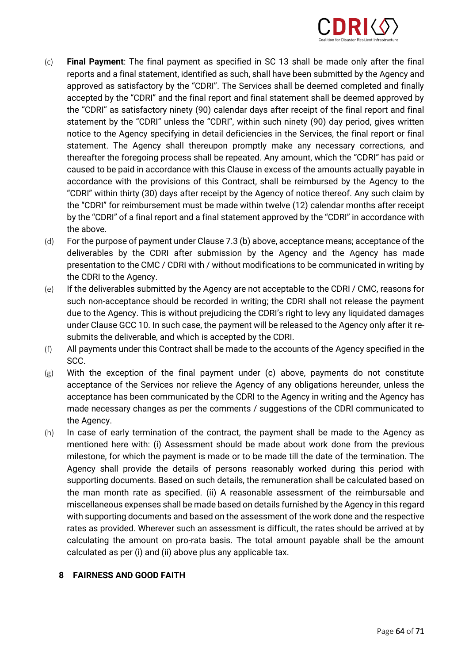

- (c) **Final Payment**: The final payment as specified in SC 13 shall be made only after the final reports and a final statement, identified as such, shall have been submitted by the Agency and approved as satisfactory by the "CDRI". The Services shall be deemed completed and finally accepted by the "CDRI" and the final report and final statement shall be deemed approved by the "CDRI" as satisfactory ninety (90) calendar days after receipt of the final report and final statement by the "CDRI" unless the "CDRI", within such ninety (90) day period, gives written notice to the Agency specifying in detail deficiencies in the Services, the final report or final statement. The Agency shall thereupon promptly make any necessary corrections, and thereafter the foregoing process shall be repeated. Any amount, which the "CDRI" has paid or caused to be paid in accordance with this Clause in excess of the amounts actually payable in accordance with the provisions of this Contract, shall be reimbursed by the Agency to the "CDRI" within thirty (30) days after receipt by the Agency of notice thereof. Any such claim by the "CDRI" for reimbursement must be made within twelve (12) calendar months after receipt by the "CDRI" of a final report and a final statement approved by the "CDRI" in accordance with the above.
- (d) For the purpose of payment under Clause 7.3 (b) above, acceptance means; acceptance of the deliverables by the CDRI after submission by the Agency and the Agency has made presentation to the CMC / CDRI with / without modifications to be communicated in writing by the CDRI to the Agency.
- (e) If the deliverables submitted by the Agency are not acceptable to the CDRI / CMC, reasons for such non-acceptance should be recorded in writing; the CDRI shall not release the payment due to the Agency. This is without prejudicing the CDRI's right to levy any liquidated damages under Clause GCC 10. In such case, the payment will be released to the Agency only after it resubmits the deliverable, and which is accepted by the CDRI.
- (f) All payments under this Contract shall be made to the accounts of the Agency specified in the SCC.
- $(g)$  With the exception of the final payment under (c) above, payments do not constitute acceptance of the Services nor relieve the Agency of any obligations hereunder, unless the acceptance has been communicated by the CDRI to the Agency in writing and the Agency has made necessary changes as per the comments / suggestions of the CDRI communicated to the Agency.
- (h) In case of early termination of the contract, the payment shall be made to the Agency as mentioned here with: (i) Assessment should be made about work done from the previous milestone, for which the payment is made or to be made till the date of the termination. The Agency shall provide the details of persons reasonably worked during this period with supporting documents. Based on such details, the remuneration shall be calculated based on the man month rate as specified. (ii) A reasonable assessment of the reimbursable and miscellaneous expenses shall be made based on details furnished by the Agency in this regard with supporting documents and based on the assessment of the work done and the respective rates as provided. Wherever such an assessment is difficult, the rates should be arrived at by calculating the amount on pro-rata basis. The total amount payable shall be the amount calculated as per (i) and (ii) above plus any applicable tax.

#### **8 FAIRNESS AND GOOD FAITH**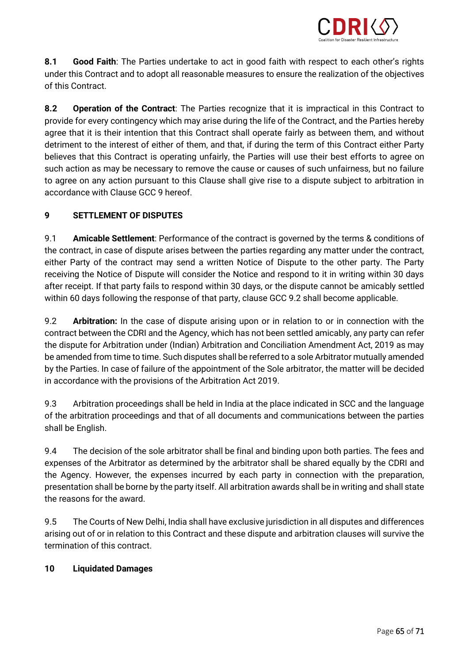

**8.1 Good Faith**: The Parties undertake to act in good faith with respect to each other's rights under this Contract and to adopt all reasonable measures to ensure the realization of the objectives of this Contract.

**8.2 Operation of the Contract**: The Parties recognize that it is impractical in this Contract to provide for every contingency which may arise during the life of the Contract, and the Parties hereby agree that it is their intention that this Contract shall operate fairly as between them, and without detriment to the interest of either of them, and that, if during the term of this Contract either Party believes that this Contract is operating unfairly, the Parties will use their best efforts to agree on such action as may be necessary to remove the cause or causes of such unfairness, but no failure to agree on any action pursuant to this Clause shall give rise to a dispute subject to arbitration in accordance with Clause GCC 9 hereof.

### **9 SETTLEMENT OF DISPUTES**

9.1 **Amicable Settlement**: Performance of the contract is governed by the terms & conditions of the contract, in case of dispute arises between the parties regarding any matter under the contract, either Party of the contract may send a written Notice of Dispute to the other party. The Party receiving the Notice of Dispute will consider the Notice and respond to it in writing within 30 days after receipt. If that party fails to respond within 30 days, or the dispute cannot be amicably settled within 60 days following the response of that party, clause GCC 9.2 shall become applicable.

9.2 **Arbitration:** In the case of dispute arising upon or in relation to or in connection with the contract between the CDRI and the Agency, which has not been settled amicably, any party can refer the dispute for Arbitration under (Indian) Arbitration and Conciliation Amendment Act, 2019 as may be amended from time to time. Such disputes shall be referred to a sole Arbitrator mutually amended by the Parties. In case of failure of the appointment of the Sole arbitrator, the matter will be decided in accordance with the provisions of the Arbitration Act 2019.

9.3 Arbitration proceedings shall be held in India at the place indicated in SCC and the language of the arbitration proceedings and that of all documents and communications between the parties shall be English.

9.4 The decision of the sole arbitrator shall be final and binding upon both parties. The fees and expenses of the Arbitrator as determined by the arbitrator shall be shared equally by the CDRI and the Agency. However, the expenses incurred by each party in connection with the preparation, presentation shall be borne by the party itself. All arbitration awards shall be in writing and shall state the reasons for the award.

9.5 The Courts of New Delhi, India shall have exclusive jurisdiction in all disputes and differences arising out of or in relation to this Contract and these dispute and arbitration clauses will survive the termination of this contract.

#### **10 Liquidated Damages**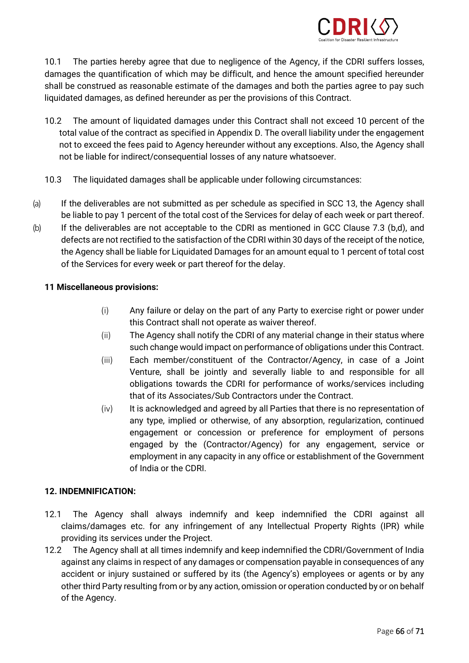

10.1 The parties hereby agree that due to negligence of the Agency, if the CDRI suffers losses, damages the quantification of which may be difficult, and hence the amount specified hereunder shall be construed as reasonable estimate of the damages and both the parties agree to pay such liquidated damages, as defined hereunder as per the provisions of this Contract.

- 10.2 The amount of liquidated damages under this Contract shall not exceed 10 percent of the total value of the contract as specified in Appendix D. The overall liability under the engagement not to exceed the fees paid to Agency hereunder without any exceptions. Also, the Agency shall not be liable for indirect/consequential losses of any nature whatsoever.
- 10.3 The liquidated damages shall be applicable under following circumstances:
- (a) If the deliverables are not submitted as per schedule as specified in SCC 13, the Agency shall be liable to pay 1 percent of the total cost of the Services for delay of each week or part thereof.
- (b) If the deliverables are not acceptable to the CDRI as mentioned in GCC Clause 7.3 (b,d), and defects are not rectified to the satisfaction of the CDRI within 30 days of the receipt of the notice, the Agency shall be liable for Liquidated Damages for an amount equal to 1 percent of total cost of the Services for every week or part thereof for the delay.

#### **11 Miscellaneous provisions:**

- (i) Any failure or delay on the part of any Party to exercise right or power under this Contract shall not operate as waiver thereof.
- (ii) The Agency shall notify the CDRI of any material change in their status where such change would impact on performance of obligations under this Contract.
- (iii) Each member/constituent of the Contractor/Agency, in case of a Joint Venture, shall be jointly and severally liable to and responsible for all obligations towards the CDRI for performance of works/services including that of its Associates/Sub Contractors under the Contract.
- (iv) It is acknowledged and agreed by all Parties that there is no representation of any type, implied or otherwise, of any absorption, regularization, continued engagement or concession or preference for employment of persons engaged by the (Contractor/Agency) for any engagement, service or employment in any capacity in any office or establishment of the Government of India or the CDRI.

#### **12. INDEMNIFICATION:**

- 12.1 The Agency shall always indemnify and keep indemnified the CDRI against all claims/damages etc. for any infringement of any Intellectual Property Rights (IPR) while providing its services under the Project.
- 12.2 The Agency shall at all times indemnify and keep indemnified the CDRI/Government of India against any claims in respect of any damages or compensation payable in consequences of any accident or injury sustained or suffered by its (the Agency's) employees or agents or by any other third Party resulting from or by any action, omission or operation conducted by or on behalf of the Agency.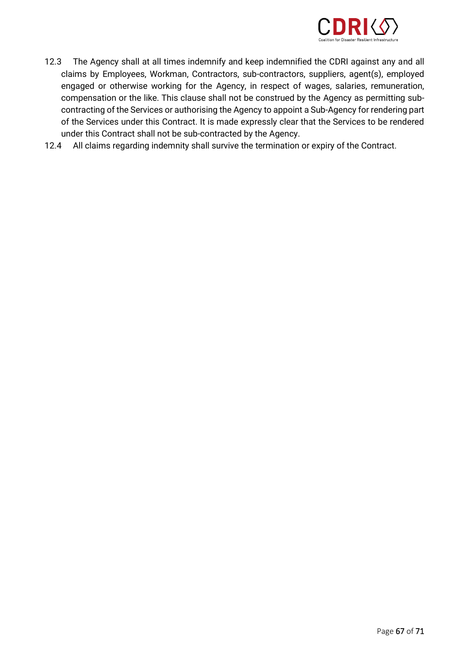

- 12.3 The Agency shall at all times indemnify and keep indemnified the CDRI against any and all claims by Employees, Workman, Contractors, sub-contractors, suppliers, agent(s), employed engaged or otherwise working for the Agency, in respect of wages, salaries, remuneration, compensation or the like. This clause shall not be construed by the Agency as permitting subcontracting of the Services or authorising the Agency to appoint a Sub-Agency for rendering part of the Services under this Contract. It is made expressly clear that the Services to be rendered under this Contract shall not be sub-contracted by the Agency.
- 12.4 All claims regarding indemnity shall survive the termination or expiry of the Contract.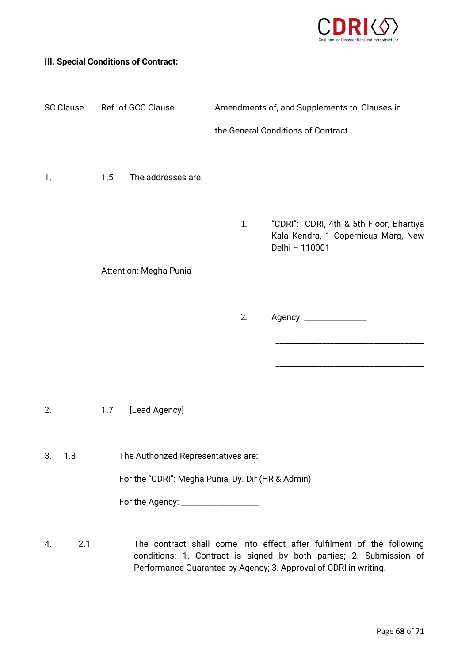

### **III. Special Conditions of Contract:**

| <b>SC Clause</b> | Ref. of GCC Clause                                | Amendments of, and Supplements to, Clauses in |                                                                                                  |  |
|------------------|---------------------------------------------------|-----------------------------------------------|--------------------------------------------------------------------------------------------------|--|
|                  |                                                   | the General Conditions of Contract            |                                                                                                  |  |
| 1.               | The addresses are:<br>1.5                         |                                               |                                                                                                  |  |
|                  |                                                   |                                               |                                                                                                  |  |
|                  |                                                   | 1.                                            | "CDRI": CDRI, 4th & 5th Floor, Bhartiya<br>Kala Kendra, 1 Copernicus Marg, New<br>Delhi - 110001 |  |
|                  | Attention: Megha Punia                            |                                               |                                                                                                  |  |
|                  |                                                   |                                               |                                                                                                  |  |
|                  |                                                   | 2.                                            |                                                                                                  |  |
|                  |                                                   |                                               |                                                                                                  |  |
|                  |                                                   |                                               |                                                                                                  |  |
| 2.               | [Lead Agency]<br>1.7                              |                                               |                                                                                                  |  |
| 3.<br>1.8        | The Authorized Representatives are:               |                                               |                                                                                                  |  |
|                  | For the "CDRI": Megha Punia, Dy. Dir (HR & Admin) |                                               |                                                                                                  |  |
|                  | For the Agency: _______________________           |                                               |                                                                                                  |  |
|                  |                                                   |                                               |                                                                                                  |  |

4. 2.1 The contract shall come into effect after fulfilment of the following conditions: 1. Contract is signed by both parties; 2. Submission of Performance Guarantee by Agency; 3. Approval of CDRI in writing.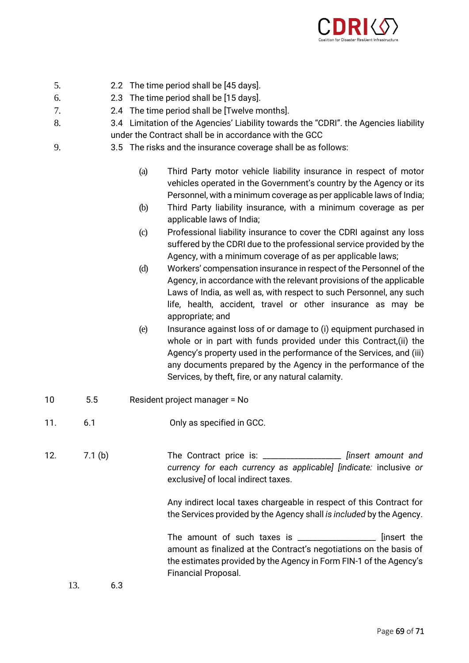

- 5. 2.2 The time period shall be [45 days].
- 6. 2.3 The time period shall be [15 days].
- 7. 2.4 The time period shall be [Twelve months].
- 8. 3.4 Limitation of the Agencies' Liability towards the "CDRI". the Agencies liability under the Contract shall be in accordance with the GCC
- 9. 3.5 The risks and the insurance coverage shall be as follows:
	- (a) Third Party motor vehicle liability insurance in respect of motor vehicles operated in the Government's country by the Agency or its Personnel, with a minimum coverage as per applicable laws of India;
	- (b) Third Party liability insurance, with a minimum coverage as per applicable laws of India;
	- (c) Professional liability insurance to cover the CDRI against any loss suffered by the CDRI due to the professional service provided by the Agency, with a minimum coverage of as per applicable laws;
	- (d) Workers' compensation insurance in respect of the Personnel of the Agency, in accordance with the relevant provisions of the applicable Laws of India, as well as, with respect to such Personnel, any such life, health, accident, travel or other insurance as may be appropriate; and
	- (e) Insurance against loss of or damage to (i) equipment purchased in whole or in part with funds provided under this Contract,(ii) the Agency's property used in the performance of the Services, and (iii) any documents prepared by the Agency in the performance of the Services, by theft, fire, or any natural calamity.
- 10 5.5 Resident project manager = No
- 11. 6.1 Only as specified in GCC.

12. 7.1 (b) The Contract price is: \_\_\_\_\_\_\_\_\_\_\_\_\_\_\_\_\_\_\_\_ *[insert amount and currency for each currency as applicable] [indicate:* inclusive *or*  exclusive*]* of local indirect taxes.

> Any indirect local taxes chargeable in respect of this Contract for the Services provided by the Agency shall *is included* by the Agency.

> The amount of such taxes is \_\_\_\_\_\_\_\_\_\_\_\_\_\_\_\_\_\_\_\_\_\_ [insert the amount as finalized at the Contract's negotiations on the basis of the estimates provided by the Agency in Form FIN-1 of the Agency's Financial Proposal.

13. 6.3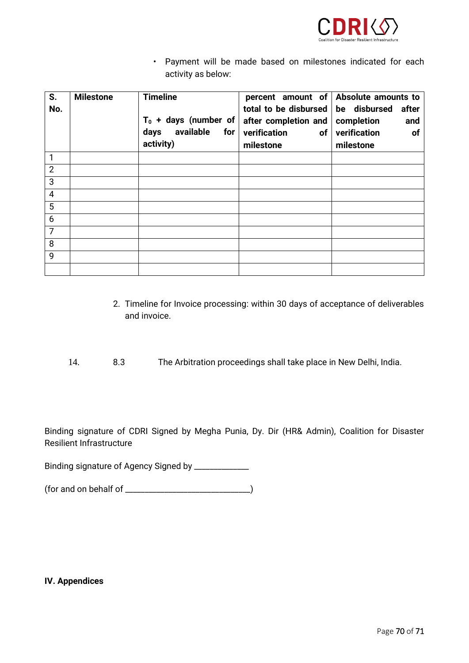

• Payment will be made based on milestones indicated for each activity as below:

| S.<br>No.      | <b>Milestone</b> | <b>Timeline</b><br>$T_0$ + days (number of<br>available<br>for<br>days<br>activity) | total to be disbursed<br>after completion and<br>verification<br>of<br>milestone | percent amount of $\vert$ Absolute amounts to<br>be disbursed<br>after<br>completion<br>and<br>verification<br><b>of</b><br>milestone |
|----------------|------------------|-------------------------------------------------------------------------------------|----------------------------------------------------------------------------------|---------------------------------------------------------------------------------------------------------------------------------------|
| 1              |                  |                                                                                     |                                                                                  |                                                                                                                                       |
| $\overline{2}$ |                  |                                                                                     |                                                                                  |                                                                                                                                       |
| 3              |                  |                                                                                     |                                                                                  |                                                                                                                                       |
| 4              |                  |                                                                                     |                                                                                  |                                                                                                                                       |
| 5              |                  |                                                                                     |                                                                                  |                                                                                                                                       |
| 6              |                  |                                                                                     |                                                                                  |                                                                                                                                       |
| $\overline{7}$ |                  |                                                                                     |                                                                                  |                                                                                                                                       |
| 8              |                  |                                                                                     |                                                                                  |                                                                                                                                       |
| 9              |                  |                                                                                     |                                                                                  |                                                                                                                                       |
|                |                  |                                                                                     |                                                                                  |                                                                                                                                       |

- 2. Timeline for Invoice processing: within 30 days of acceptance of deliverables and invoice.
- 14. 8.3 The Arbitration proceedings shall take place in New Delhi, India.

Binding signature of CDRI Signed by Megha Punia, Dy. Dir (HR& Admin), Coalition for Disaster Resilient Infrastructure

Binding signature of Agency Signed by \_\_\_\_\_\_\_\_\_\_\_\_\_

(for and on behalf of \_\_\_\_\_\_\_\_\_\_\_\_\_\_\_\_\_\_\_\_\_\_\_\_\_\_\_\_\_\_\_\_)

**IV. Appendices**